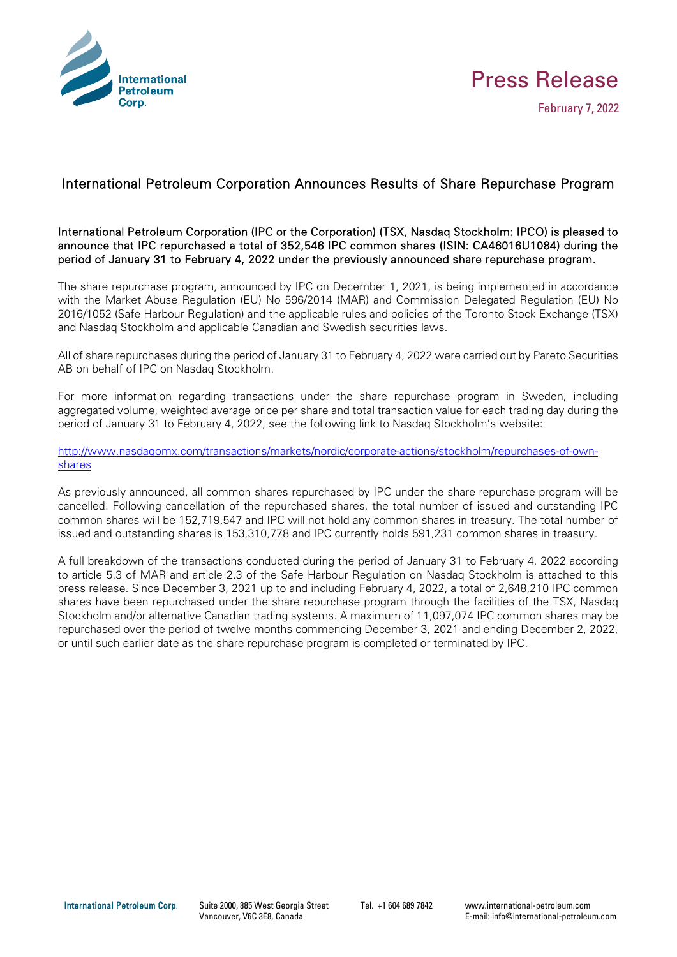



## International Petroleum Corporation Announces Results of Share Repurchase Program

International Petroleum Corporation (IPC or the Corporation) (TSX, Nasdaq Stockholm: IPCO) is pleased to announce that IPC repurchased a total of 352,546 IPC common shares (ISIN: CA46016U1084) during the period of January 31 to February 4, 2022 under the previously announced share repurchase program.

The share repurchase program, announced by IPC on December 1, 2021, is being implemented in accordance with the Market Abuse Regulation (EU) No 596/2014 (MAR) and Commission Delegated Regulation (EU) No 2016/1052 (Safe Harbour Regulation) and the applicable rules and policies of the Toronto Stock Exchange (TSX) and Nasdaq Stockholm and applicable Canadian and Swedish securities laws.

All of share repurchases during the period of January 31 to February 4, 2022 were carried out by Pareto Securities AB on behalf of IPC on Nasdaq Stockholm.

For more information regarding transactions under the share repurchase program in Sweden, including aggregated volume, weighted average price per share and total transaction value for each trading day during the period of January 31 to February 4, 2022, see the following link to Nasdaq Stockholm's website:

[http://www.nasdaqomx.com/transactions/markets/nordic/corporate-actions/stockholm/repurchases-of-own](http://www.nasdaqomx.com/transactions/markets/nordic/corporate-actions/stockholm/repurchases-of-own-shares)[shares](http://www.nasdaqomx.com/transactions/markets/nordic/corporate-actions/stockholm/repurchases-of-own-shares)

As previously announced, all common shares repurchased by IPC under the share repurchase program will be cancelled. Following cancellation of the repurchased shares, the total number of issued and outstanding IPC common shares will be 152,719,547 and IPC will not hold any common shares in treasury. The total number of issued and outstanding shares is 153,310,778 and IPC currently holds 591,231 common shares in treasury.

A full breakdown of the transactions conducted during the period of January 31 to February 4, 2022 according to article 5.3 of MAR and article 2.3 of the Safe Harbour Regulation on Nasdaq Stockholm is attached to this press release. Since December 3, 2021 up to and including February 4, 2022, a total of 2,648,210 IPC common shares have been repurchased under the share repurchase program through the facilities of the TSX, Nasdaq Stockholm and/or alternative Canadian trading systems. A maximum of 11,097,074 IPC common shares may be repurchased over the period of twelve months commencing December 3, 2021 and ending December 2, 2022, or until such earlier date as the share repurchase program is completed or terminated by IPC.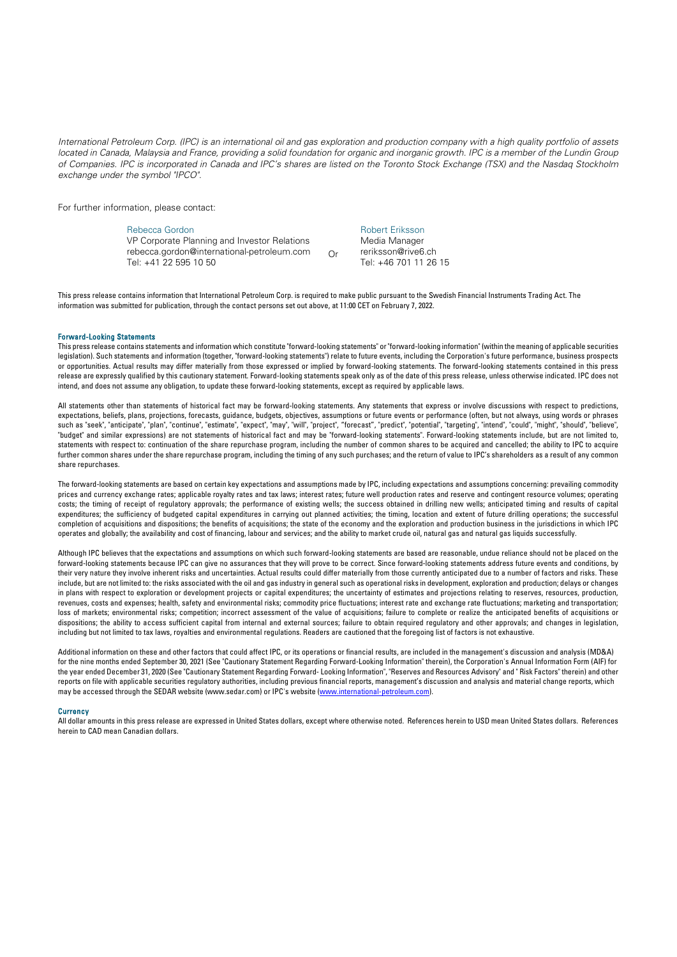*International Petroleum Corp. (IPC) is an international oil and gas exploration and production company with a high quality portfolio of assets*  located in Canada, Malaysia and France, providing a solid foundation for organic and inorganic growth. IPC is a member of the Lundin Group *of Companies. IPC is incorporated in Canada and IPC's shares are listed on the Toronto Stock Exchange (TSX) and the Nasdaq Stockholm exchange under the symbol "IPCO".* 

For further information, please contact:

Rebecca Gordon

VP Corporate Planning and Investor Relations rebecca.gordon@international-petroleum.com Tel: +41 22 595 10 50

Robert Eriksson Media Manager reriksson@rive6.ch

Tel: +46 701 11 26 15

This press release contains information that International Petroleum Corp. is required to make public pursuant to the Swedish Financial Instruments Trading Act. The information was submitted for publication, through the contact persons set out above, at 11:00 CET on February 7, 2022.

Or

## Forward-Looking Statements

This press release contains statements and information which constitute "forward-looking statements" or "forward-looking information" (within the meaning of applicable securities legislation). Such statements and information (together, "forward-looking statements") relate to future events, including the Corporation's future performance, business prospects or opportunities. Actual results may differ materially from those expressed or implied by forward-looking statements. The forward-looking statements contained in this press release are expressly qualified by this cautionary statement. Forward-looking statements speak only as of the date of this press release, unless otherwise indicated. IPC does not intend, and does not assume any obligation, to update these forward-looking statements, except as required by applicable laws.

All statements other than statements of historical fact may be forward-looking statements. Any statements that express or involve discussions with respect to predictions, expectations, beliefs, plans, projections, forecasts, guidance, budgets, objectives, assumptions or future events or performance (often, but not always, using words or phrases such as "seek", "anticipate", "plan", "continue", "estimate", "expect", "may", "will", "project", "forecast", "predict", "potential", "targeting", "intend", "could", "might", "should", "believe", "budget" and similar expressions) are not statements of historical fact and may be "forward-looking statements". Forward-looking statements include, but are not limited to, statements with respect to: continuation of the share repurchase program, including the number of common shares to be acquired and cancelled; the ability to IPC to acquire further common shares under the share repurchase program, including the timing of any such purchases; and the return of value to IPC's shareholders as a result of any common share repurchases.

The forward-looking statements are based on certain key expectations and assumptions made by IPC, including expectations and assumptions concerning: prevailing commodity prices and currency exchange rates; applicable royalty rates and tax laws; interest rates; future well production rates and reserve and contingent resource volumes; operating costs; the timing of receipt of regulatory approvals; the performance of existing wells; the success obtained in drilling new wells; anticipated timing and results of capital expenditures; the sufficiency of budgeted capital expenditures in carrying out planned activities; the timing, location and extent of future drilling operations; the successful completion of acquisitions and dispositions; the benefits of acquisitions; the state of the economy and the exploration and production business in the jurisdictions in which IPC operates and globally; the availability and cost of financing, labour and services; and the ability to market crude oil, natural gas and natural gas liquids successfully.

Although IPC believes that the expectations and assumptions on which such forward-looking statements are based are reasonable, undue reliance should not be placed on the forward-looking statements because IPC can give no assurances that they will prove to be correct. Since forward-looking statements address future events and conditions, by their very nature they involve inherent risks and uncertainties. Actual results could differ materially from those currently anticipated due to a number of factors and risks. These include, but are not limited to: the risks associated with the oil and gas industry in general such as operational risks in development, exploration and production; delays or changes in plans with respect to exploration or development projects or capital expenditures; the uncertainty of estimates and projections relating to reserves, resources, production, revenues, costs and expenses; health, safety and environmental risks; commodity price fluctuations; interest rate and exchange rate fluctuations; marketing and transportation; loss of markets; environmental risks; competition; incorrect assessment of the value of acquisitions; failure to complete or realize the anticipated benefits of acquisitions or dispositions; the ability to access sufficient capital from internal and external sources; failure to obtain required regulatory and other approvals; and changes in legislation, including but not limited to tax laws, royalties and environmental regulations. Readers are cautioned that the foregoing list of factors is not exhaustive.

Additional information on these and other factors that could affect IPC, or its operations or financial results, are included in the management's discussion and analysis (MD&A) for the nine months ended September 30, 2021 (See "Cautionary Statement Regarding Forward-Looking Information" therein), the Corporation's Annual Information Form (AIF) for the year ended December 31, 2020 (See "Cautionary Statement Regarding Forward- Looking Information", "Reserves and Resources Advisory" and " Risk Factors" therein) and other reports on file with applicable securities regulatory authorities, including previous financial reports, management's discussion and analysis and material change reports, which may be accessed through the SEDAR website (www.sedar.com) or IPC's website [\(www.international-petroleum.com\).](http://www.international-petroleum.com/)

## **Currency**

All dollar amounts in this press release are expressed in United States dollars, except where otherwise noted. References herein to USD mean United States dollars. References herein to CAD mean Canadian dollars.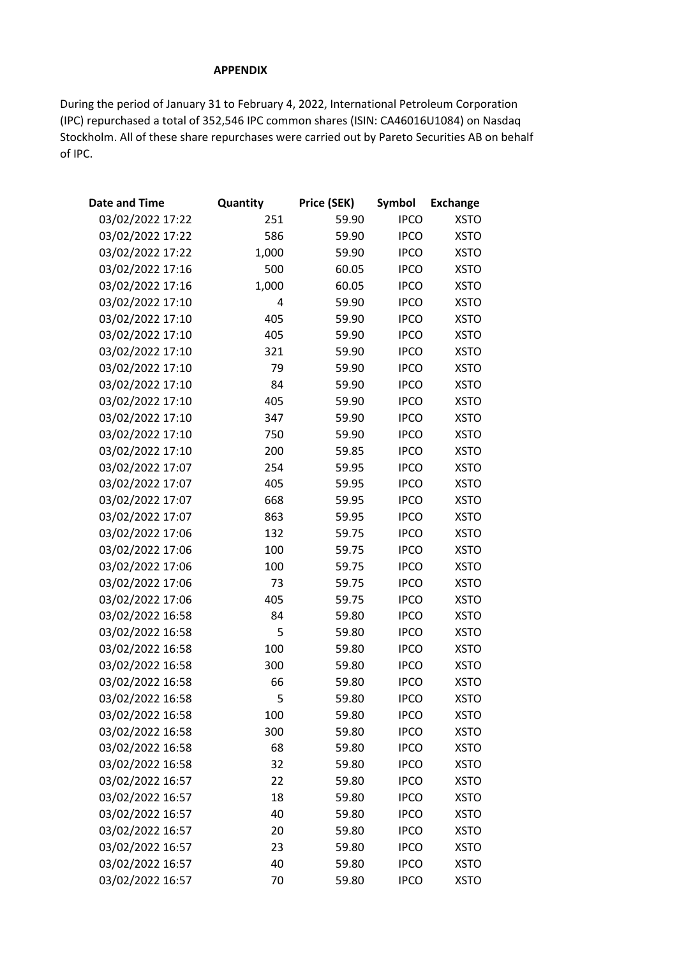## **APPENDIX**

During the period of January 31 to February 4, 2022, International Petroleum Corporation (IPC) repurchased a total of 352,546 IPC common shares (ISIN: CA46016U1084) on Nasdaq Stockholm. All of these share repurchases were carried out by Pareto Securities AB on behalf of IPC.

| <b>Date and Time</b> | Quantity | Price (SEK) | Symbol      | <b>Exchange</b> |
|----------------------|----------|-------------|-------------|-----------------|
| 03/02/2022 17:22     | 251      | 59.90       | <b>IPCO</b> | <b>XSTO</b>     |
| 03/02/2022 17:22     | 586      | 59.90       | <b>IPCO</b> | <b>XSTO</b>     |
| 03/02/2022 17:22     | 1,000    | 59.90       | <b>IPCO</b> | <b>XSTO</b>     |
| 03/02/2022 17:16     | 500      | 60.05       | <b>IPCO</b> | <b>XSTO</b>     |
| 03/02/2022 17:16     | 1,000    | 60.05       | <b>IPCO</b> | <b>XSTO</b>     |
| 03/02/2022 17:10     | 4        | 59.90       | <b>IPCO</b> | <b>XSTO</b>     |
| 03/02/2022 17:10     | 405      | 59.90       | <b>IPCO</b> | <b>XSTO</b>     |
| 03/02/2022 17:10     | 405      | 59.90       | <b>IPCO</b> | <b>XSTO</b>     |
| 03/02/2022 17:10     | 321      | 59.90       | <b>IPCO</b> | <b>XSTO</b>     |
| 03/02/2022 17:10     | 79       | 59.90       | <b>IPCO</b> | <b>XSTO</b>     |
| 03/02/2022 17:10     | 84       | 59.90       | <b>IPCO</b> | <b>XSTO</b>     |
| 03/02/2022 17:10     | 405      | 59.90       | <b>IPCO</b> | <b>XSTO</b>     |
| 03/02/2022 17:10     | 347      | 59.90       | <b>IPCO</b> | <b>XSTO</b>     |
| 03/02/2022 17:10     | 750      | 59.90       | <b>IPCO</b> | <b>XSTO</b>     |
| 03/02/2022 17:10     | 200      | 59.85       | <b>IPCO</b> | <b>XSTO</b>     |
| 03/02/2022 17:07     | 254      | 59.95       | <b>IPCO</b> | <b>XSTO</b>     |
| 03/02/2022 17:07     | 405      | 59.95       | <b>IPCO</b> | <b>XSTO</b>     |
| 03/02/2022 17:07     | 668      | 59.95       | <b>IPCO</b> | <b>XSTO</b>     |
| 03/02/2022 17:07     | 863      | 59.95       | <b>IPCO</b> | <b>XSTO</b>     |
| 03/02/2022 17:06     | 132      | 59.75       | <b>IPCO</b> | <b>XSTO</b>     |
| 03/02/2022 17:06     | 100      | 59.75       | <b>IPCO</b> | <b>XSTO</b>     |
| 03/02/2022 17:06     | 100      | 59.75       | <b>IPCO</b> | <b>XSTO</b>     |
| 03/02/2022 17:06     | 73       | 59.75       | <b>IPCO</b> | <b>XSTO</b>     |
| 03/02/2022 17:06     | 405      | 59.75       | <b>IPCO</b> | <b>XSTO</b>     |
| 03/02/2022 16:58     | 84       | 59.80       | <b>IPCO</b> | <b>XSTO</b>     |
| 03/02/2022 16:58     | 5        | 59.80       | <b>IPCO</b> | <b>XSTO</b>     |
| 03/02/2022 16:58     | 100      | 59.80       | <b>IPCO</b> | <b>XSTO</b>     |
| 03/02/2022 16:58     | 300      | 59.80       | <b>IPCO</b> | <b>XSTO</b>     |
| 03/02/2022 16:58     | 66       | 59.80       | <b>IPCO</b> | <b>XSTO</b>     |
| 03/02/2022 16:58     | 5        | 59.80       | <b>IPCO</b> | <b>XSTO</b>     |
| 03/02/2022 16:58     | 100      | 59.80       | <b>IPCO</b> | <b>XSTO</b>     |
| 03/02/2022 16:58     | 300      | 59.80       | <b>IPCO</b> | <b>XSTO</b>     |
| 03/02/2022 16:58     | 68       | 59.80       | <b>IPCO</b> | <b>XSTO</b>     |
| 03/02/2022 16:58     | 32       | 59.80       | <b>IPCO</b> | <b>XSTO</b>     |
| 03/02/2022 16:57     | 22       | 59.80       | <b>IPCO</b> | <b>XSTO</b>     |
| 03/02/2022 16:57     | 18       | 59.80       | <b>IPCO</b> | <b>XSTO</b>     |
| 03/02/2022 16:57     | 40       | 59.80       | <b>IPCO</b> | <b>XSTO</b>     |
| 03/02/2022 16:57     | 20       | 59.80       | <b>IPCO</b> | <b>XSTO</b>     |
| 03/02/2022 16:57     | 23       | 59.80       | <b>IPCO</b> | <b>XSTO</b>     |
| 03/02/2022 16:57     | 40       | 59.80       | <b>IPCO</b> | <b>XSTO</b>     |
| 03/02/2022 16:57     | 70       | 59.80       | <b>IPCO</b> | <b>XSTO</b>     |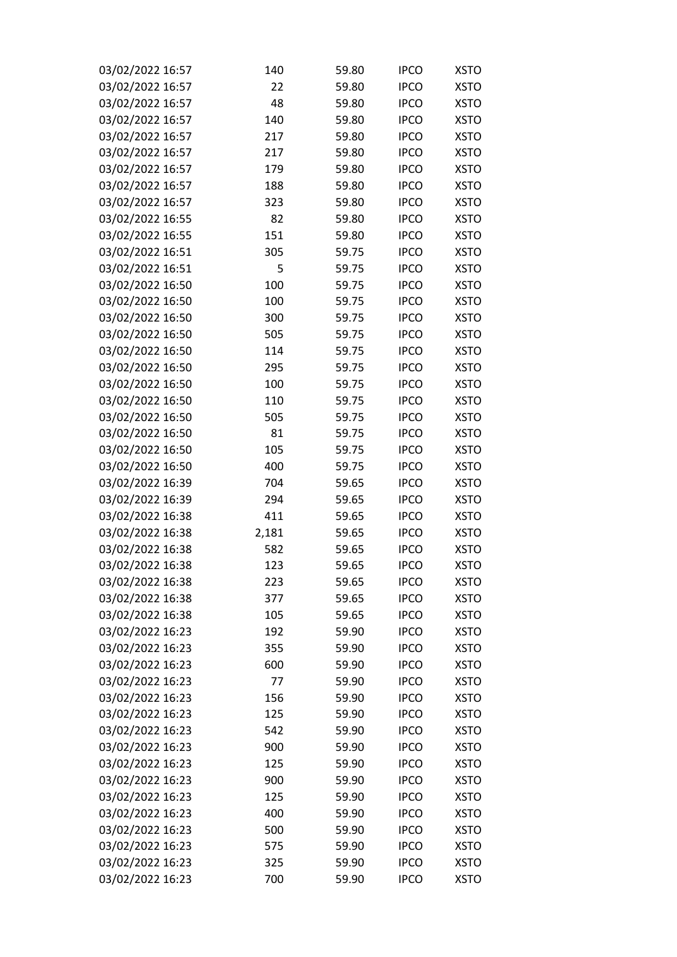| 03/02/2022 16:57 | 140   | 59.80 | <b>IPCO</b> | <b>XSTO</b> |
|------------------|-------|-------|-------------|-------------|
| 03/02/2022 16:57 | 22    | 59.80 | <b>IPCO</b> | <b>XSTO</b> |
| 03/02/2022 16:57 | 48    | 59.80 | <b>IPCO</b> | <b>XSTO</b> |
| 03/02/2022 16:57 | 140   | 59.80 | <b>IPCO</b> | <b>XSTO</b> |
| 03/02/2022 16:57 | 217   | 59.80 | <b>IPCO</b> | <b>XSTO</b> |
| 03/02/2022 16:57 | 217   | 59.80 | <b>IPCO</b> | <b>XSTO</b> |
| 03/02/2022 16:57 | 179   | 59.80 | <b>IPCO</b> | <b>XSTO</b> |
| 03/02/2022 16:57 | 188   | 59.80 | <b>IPCO</b> | <b>XSTO</b> |
| 03/02/2022 16:57 | 323   | 59.80 | <b>IPCO</b> | <b>XSTO</b> |
| 03/02/2022 16:55 | 82    | 59.80 | <b>IPCO</b> | <b>XSTO</b> |
| 03/02/2022 16:55 | 151   | 59.80 | <b>IPCO</b> | <b>XSTO</b> |
| 03/02/2022 16:51 | 305   | 59.75 | <b>IPCO</b> | <b>XSTO</b> |
| 03/02/2022 16:51 | 5     | 59.75 | <b>IPCO</b> | <b>XSTO</b> |
| 03/02/2022 16:50 | 100   | 59.75 | <b>IPCO</b> | <b>XSTO</b> |
| 03/02/2022 16:50 | 100   | 59.75 | <b>IPCO</b> | <b>XSTO</b> |
| 03/02/2022 16:50 | 300   | 59.75 | <b>IPCO</b> | <b>XSTO</b> |
| 03/02/2022 16:50 | 505   | 59.75 | <b>IPCO</b> | <b>XSTO</b> |
| 03/02/2022 16:50 | 114   | 59.75 | <b>IPCO</b> | <b>XSTO</b> |
| 03/02/2022 16:50 | 295   | 59.75 | <b>IPCO</b> | <b>XSTO</b> |
| 03/02/2022 16:50 | 100   | 59.75 | <b>IPCO</b> | <b>XSTO</b> |
| 03/02/2022 16:50 | 110   | 59.75 | <b>IPCO</b> | <b>XSTO</b> |
| 03/02/2022 16:50 | 505   | 59.75 | <b>IPCO</b> | <b>XSTO</b> |
| 03/02/2022 16:50 | 81    | 59.75 | <b>IPCO</b> | <b>XSTO</b> |
| 03/02/2022 16:50 | 105   | 59.75 | <b>IPCO</b> | <b>XSTO</b> |
| 03/02/2022 16:50 | 400   | 59.75 | <b>IPCO</b> | <b>XSTO</b> |
| 03/02/2022 16:39 | 704   | 59.65 | <b>IPCO</b> | <b>XSTO</b> |
| 03/02/2022 16:39 | 294   | 59.65 | <b>IPCO</b> | <b>XSTO</b> |
| 03/02/2022 16:38 | 411   | 59.65 | <b>IPCO</b> | <b>XSTO</b> |
| 03/02/2022 16:38 | 2,181 | 59.65 | <b>IPCO</b> | <b>XSTO</b> |
| 03/02/2022 16:38 | 582   | 59.65 | <b>IPCO</b> | <b>XSTO</b> |
| 03/02/2022 16:38 | 123   | 59.65 | <b>IPCO</b> | <b>XSTO</b> |
| 03/02/2022 16:38 | 223   | 59.65 | <b>IPCO</b> | <b>XSTO</b> |
| 03/02/2022 16:38 | 377   | 59.65 | <b>IPCO</b> | <b>XSTO</b> |
| 03/02/2022 16:38 | 105   | 59.65 | <b>IPCO</b> | <b>XSTO</b> |
| 03/02/2022 16:23 | 192   | 59.90 | <b>IPCO</b> | <b>XSTO</b> |
| 03/02/2022 16:23 | 355   | 59.90 | <b>IPCO</b> | <b>XSTO</b> |
| 03/02/2022 16:23 | 600   | 59.90 | <b>IPCO</b> | <b>XSTO</b> |
| 03/02/2022 16:23 | 77    | 59.90 | <b>IPCO</b> | <b>XSTO</b> |
| 03/02/2022 16:23 | 156   | 59.90 | <b>IPCO</b> | <b>XSTO</b> |
| 03/02/2022 16:23 | 125   | 59.90 | <b>IPCO</b> | <b>XSTO</b> |
| 03/02/2022 16:23 | 542   | 59.90 | <b>IPCO</b> | <b>XSTO</b> |
| 03/02/2022 16:23 | 900   | 59.90 | <b>IPCO</b> | <b>XSTO</b> |
| 03/02/2022 16:23 | 125   | 59.90 | <b>IPCO</b> | <b>XSTO</b> |
| 03/02/2022 16:23 | 900   | 59.90 | <b>IPCO</b> | <b>XSTO</b> |
| 03/02/2022 16:23 | 125   | 59.90 | <b>IPCO</b> | <b>XSTO</b> |
| 03/02/2022 16:23 | 400   | 59.90 | <b>IPCO</b> | <b>XSTO</b> |
| 03/02/2022 16:23 | 500   | 59.90 | <b>IPCO</b> | <b>XSTO</b> |
| 03/02/2022 16:23 | 575   | 59.90 | <b>IPCO</b> | <b>XSTO</b> |
| 03/02/2022 16:23 | 325   | 59.90 | <b>IPCO</b> | <b>XSTO</b> |
| 03/02/2022 16:23 | 700   | 59.90 | <b>IPCO</b> | <b>XSTO</b> |
|                  |       |       |             |             |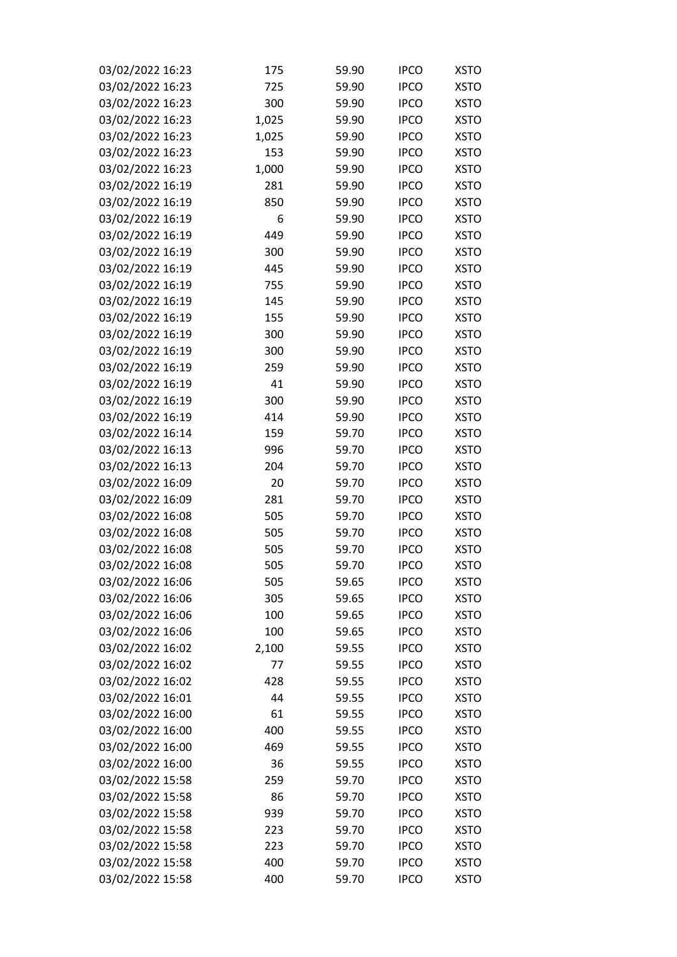| 03/02/2022 16:23                     | 175   | 59.90 | <b>IPCO</b> | <b>XSTO</b> |
|--------------------------------------|-------|-------|-------------|-------------|
| 03/02/2022 16:23                     | 725   | 59.90 | <b>IPCO</b> | <b>XSTO</b> |
| 03/02/2022 16:23                     | 300   | 59.90 | <b>IPCO</b> | <b>XSTO</b> |
| 03/02/2022 16:23                     | 1,025 | 59.90 | <b>IPCO</b> | <b>XSTO</b> |
| 03/02/2022 16:23                     | 1,025 | 59.90 | <b>IPCO</b> | <b>XSTO</b> |
| 03/02/2022 16:23                     | 153   | 59.90 | <b>IPCO</b> | <b>XSTO</b> |
| 03/02/2022 16:23                     | 1,000 | 59.90 | <b>IPCO</b> | <b>XSTO</b> |
| 03/02/2022 16:19                     | 281   | 59.90 | <b>IPCO</b> | <b>XSTO</b> |
| 03/02/2022 16:19                     | 850   | 59.90 | <b>IPCO</b> | <b>XSTO</b> |
| 03/02/2022 16:19                     | 6     | 59.90 | <b>IPCO</b> | <b>XSTO</b> |
| 03/02/2022 16:19                     | 449   | 59.90 | <b>IPCO</b> | <b>XSTO</b> |
| 03/02/2022 16:19                     | 300   | 59.90 | <b>IPCO</b> | <b>XSTO</b> |
| 03/02/2022 16:19                     | 445   | 59.90 | <b>IPCO</b> | <b>XSTO</b> |
| 03/02/2022 16:19                     | 755   | 59.90 | <b>IPCO</b> | <b>XSTO</b> |
| 03/02/2022 16:19                     | 145   | 59.90 | <b>IPCO</b> | <b>XSTO</b> |
| 03/02/2022 16:19                     | 155   | 59.90 | <b>IPCO</b> | <b>XSTO</b> |
| 03/02/2022 16:19                     | 300   | 59.90 | <b>IPCO</b> | <b>XSTO</b> |
| 03/02/2022 16:19                     | 300   | 59.90 | <b>IPCO</b> | <b>XSTO</b> |
| 03/02/2022 16:19                     | 259   | 59.90 | <b>IPCO</b> | <b>XSTO</b> |
| 03/02/2022 16:19                     | 41    | 59.90 | <b>IPCO</b> | <b>XSTO</b> |
| 03/02/2022 16:19                     | 300   | 59.90 | <b>IPCO</b> | <b>XSTO</b> |
| 03/02/2022 16:19                     | 414   | 59.90 | <b>IPCO</b> | <b>XSTO</b> |
| 03/02/2022 16:14                     | 159   | 59.70 | <b>IPCO</b> | <b>XSTO</b> |
| 03/02/2022 16:13                     | 996   | 59.70 | <b>IPCO</b> | <b>XSTO</b> |
| 03/02/2022 16:13                     | 204   | 59.70 | <b>IPCO</b> | <b>XSTO</b> |
| 03/02/2022 16:09                     | 20    | 59.70 | <b>IPCO</b> | <b>XSTO</b> |
| 03/02/2022 16:09                     | 281   | 59.70 | <b>IPCO</b> | <b>XSTO</b> |
| 03/02/2022 16:08                     | 505   | 59.70 | <b>IPCO</b> | <b>XSTO</b> |
| 03/02/2022 16:08                     | 505   | 59.70 | <b>IPCO</b> | <b>XSTO</b> |
| 03/02/2022 16:08                     | 505   | 59.70 | <b>IPCO</b> | <b>XSTO</b> |
| 03/02/2022 16:08                     | 505   | 59.70 | <b>IPCO</b> | <b>XSTO</b> |
| 03/02/2022 16:06                     | 505   | 59.65 | <b>IPCO</b> | <b>XSTO</b> |
| 03/02/2022 16:06                     | 305   | 59.65 | <b>IPCO</b> | <b>XSTO</b> |
| 03/02/2022 16:06                     | 100   | 59.65 | <b>IPCO</b> | <b>XSTO</b> |
| 03/02/2022 16:06                     | 100   | 59.65 | <b>IPCO</b> | <b>XSTO</b> |
| 03/02/2022 16:02                     | 2,100 | 59.55 | <b>IPCO</b> | <b>XSTO</b> |
| 03/02/2022 16:02                     | 77    | 59.55 | <b>IPCO</b> | <b>XSTO</b> |
| 03/02/2022 16:02                     | 428   | 59.55 | <b>IPCO</b> | <b>XSTO</b> |
| 03/02/2022 16:01                     | 44    | 59.55 | <b>IPCO</b> | <b>XSTO</b> |
| 03/02/2022 16:00                     | 61    | 59.55 | <b>IPCO</b> | <b>XSTO</b> |
| 03/02/2022 16:00                     | 400   | 59.55 | <b>IPCO</b> | <b>XSTO</b> |
| 03/02/2022 16:00                     | 469   | 59.55 | <b>IPCO</b> | <b>XSTO</b> |
| 03/02/2022 16:00                     | 36    | 59.55 | <b>IPCO</b> | <b>XSTO</b> |
| 03/02/2022 15:58                     | 259   | 59.70 | <b>IPCO</b> | <b>XSTO</b> |
| 03/02/2022 15:58                     | 86    | 59.70 | <b>IPCO</b> | <b>XSTO</b> |
|                                      |       |       |             |             |
| 03/02/2022 15:58<br>03/02/2022 15:58 | 939   | 59.70 | <b>IPCO</b> | <b>XSTO</b> |
|                                      | 223   | 59.70 | <b>IPCO</b> | <b>XSTO</b> |
| 03/02/2022 15:58                     | 223   | 59.70 | <b>IPCO</b> | <b>XSTO</b> |
| 03/02/2022 15:58                     | 400   | 59.70 | <b>IPCO</b> | <b>XSTO</b> |
| 03/02/2022 15:58                     | 400   | 59.70 | <b>IPCO</b> | <b>XSTO</b> |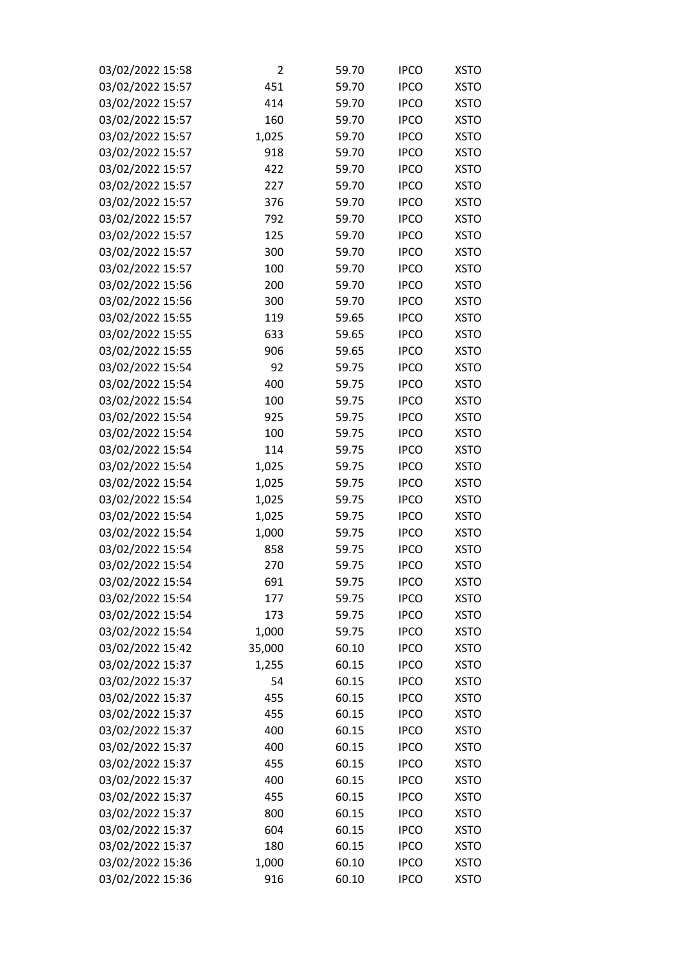| 03/02/2022 15:58 | $\overline{2}$ | 59.70 | <b>IPCO</b> | <b>XSTO</b> |
|------------------|----------------|-------|-------------|-------------|
| 03/02/2022 15:57 | 451            | 59.70 | <b>IPCO</b> | <b>XSTO</b> |
| 03/02/2022 15:57 | 414            | 59.70 | <b>IPCO</b> | <b>XSTO</b> |
| 03/02/2022 15:57 | 160            | 59.70 | <b>IPCO</b> | <b>XSTO</b> |
| 03/02/2022 15:57 | 1,025          | 59.70 | <b>IPCO</b> | <b>XSTO</b> |
| 03/02/2022 15:57 | 918            | 59.70 | <b>IPCO</b> | <b>XSTO</b> |
| 03/02/2022 15:57 | 422            | 59.70 | <b>IPCO</b> | <b>XSTO</b> |
| 03/02/2022 15:57 | 227            | 59.70 | <b>IPCO</b> | <b>XSTO</b> |
| 03/02/2022 15:57 | 376            | 59.70 | <b>IPCO</b> | <b>XSTO</b> |
| 03/02/2022 15:57 | 792            | 59.70 | <b>IPCO</b> | <b>XSTO</b> |
| 03/02/2022 15:57 | 125            | 59.70 | <b>IPCO</b> | <b>XSTO</b> |
| 03/02/2022 15:57 | 300            | 59.70 | <b>IPCO</b> | <b>XSTO</b> |
| 03/02/2022 15:57 | 100            | 59.70 | <b>IPCO</b> | <b>XSTO</b> |
| 03/02/2022 15:56 | 200            | 59.70 | <b>IPCO</b> | <b>XSTO</b> |
| 03/02/2022 15:56 | 300            | 59.70 | <b>IPCO</b> | <b>XSTO</b> |
| 03/02/2022 15:55 | 119            | 59.65 | <b>IPCO</b> | <b>XSTO</b> |
| 03/02/2022 15:55 | 633            | 59.65 | <b>IPCO</b> | <b>XSTO</b> |
| 03/02/2022 15:55 | 906            | 59.65 | <b>IPCO</b> | <b>XSTO</b> |
| 03/02/2022 15:54 | 92             | 59.75 | <b>IPCO</b> | <b>XSTO</b> |
| 03/02/2022 15:54 | 400            | 59.75 | <b>IPCO</b> | <b>XSTO</b> |
| 03/02/2022 15:54 | 100            | 59.75 | <b>IPCO</b> | <b>XSTO</b> |
| 03/02/2022 15:54 | 925            | 59.75 | <b>IPCO</b> | <b>XSTO</b> |
| 03/02/2022 15:54 | 100            | 59.75 | <b>IPCO</b> | <b>XSTO</b> |
| 03/02/2022 15:54 | 114            | 59.75 | <b>IPCO</b> | <b>XSTO</b> |
| 03/02/2022 15:54 | 1,025          | 59.75 | <b>IPCO</b> | <b>XSTO</b> |
| 03/02/2022 15:54 | 1,025          | 59.75 | <b>IPCO</b> | <b>XSTO</b> |
| 03/02/2022 15:54 | 1,025          | 59.75 | <b>IPCO</b> | <b>XSTO</b> |
| 03/02/2022 15:54 | 1,025          | 59.75 | <b>IPCO</b> | <b>XSTO</b> |
| 03/02/2022 15:54 | 1,000          | 59.75 | <b>IPCO</b> | <b>XSTO</b> |
| 03/02/2022 15:54 | 858            | 59.75 | <b>IPCO</b> | <b>XSTO</b> |
| 03/02/2022 15:54 | 270            | 59.75 | <b>IPCO</b> | <b>XSTO</b> |
| 03/02/2022 15:54 | 691            | 59.75 | <b>IPCO</b> | <b>XSTO</b> |
| 03/02/2022 15:54 | 177            | 59.75 | <b>IPCO</b> | <b>XSTO</b> |
| 03/02/2022 15:54 | 173            | 59.75 | <b>IPCO</b> | <b>XSTO</b> |
| 03/02/2022 15:54 | 1,000          | 59.75 | <b>IPCO</b> | <b>XSTO</b> |
| 03/02/2022 15:42 | 35,000         | 60.10 | <b>IPCO</b> | <b>XSTO</b> |
| 03/02/2022 15:37 | 1,255          | 60.15 | <b>IPCO</b> | <b>XSTO</b> |
| 03/02/2022 15:37 | 54             | 60.15 | <b>IPCO</b> | <b>XSTO</b> |
| 03/02/2022 15:37 | 455            | 60.15 | <b>IPCO</b> | <b>XSTO</b> |
| 03/02/2022 15:37 | 455            | 60.15 | <b>IPCO</b> | <b>XSTO</b> |
| 03/02/2022 15:37 | 400            | 60.15 | <b>IPCO</b> | <b>XSTO</b> |
| 03/02/2022 15:37 | 400            | 60.15 | <b>IPCO</b> | <b>XSTO</b> |
| 03/02/2022 15:37 | 455            | 60.15 | <b>IPCO</b> | <b>XSTO</b> |
| 03/02/2022 15:37 | 400            | 60.15 | <b>IPCO</b> | <b>XSTO</b> |
| 03/02/2022 15:37 | 455            | 60.15 | <b>IPCO</b> | <b>XSTO</b> |
| 03/02/2022 15:37 | 800            | 60.15 | <b>IPCO</b> | <b>XSTO</b> |
| 03/02/2022 15:37 | 604            | 60.15 | <b>IPCO</b> | <b>XSTO</b> |
| 03/02/2022 15:37 | 180            | 60.15 | <b>IPCO</b> | <b>XSTO</b> |
| 03/02/2022 15:36 | 1,000          | 60.10 | <b>IPCO</b> | <b>XSTO</b> |
| 03/02/2022 15:36 | 916            | 60.10 | <b>IPCO</b> | <b>XSTO</b> |
|                  |                |       |             |             |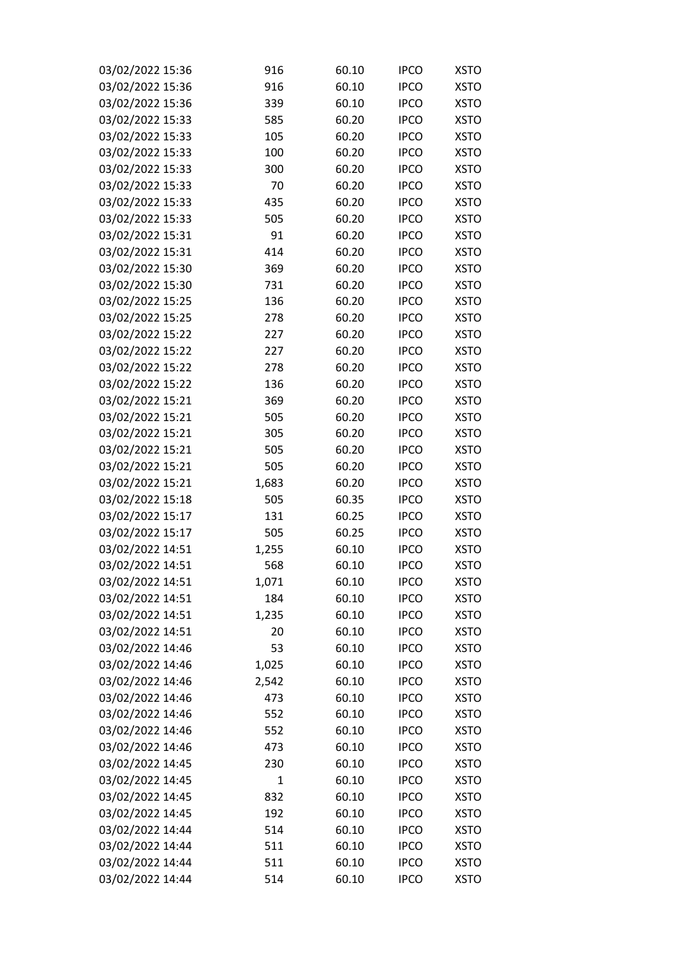| 03/02/2022 15:36 | 916   | 60.10 | <b>IPCO</b> | <b>XSTO</b> |
|------------------|-------|-------|-------------|-------------|
| 03/02/2022 15:36 | 916   | 60.10 | <b>IPCO</b> | <b>XSTO</b> |
| 03/02/2022 15:36 | 339   | 60.10 | <b>IPCO</b> | <b>XSTO</b> |
| 03/02/2022 15:33 | 585   | 60.20 | <b>IPCO</b> | <b>XSTO</b> |
| 03/02/2022 15:33 | 105   | 60.20 | <b>IPCO</b> | <b>XSTO</b> |
| 03/02/2022 15:33 | 100   | 60.20 | <b>IPCO</b> | <b>XSTO</b> |
| 03/02/2022 15:33 | 300   | 60.20 | <b>IPCO</b> | <b>XSTO</b> |
| 03/02/2022 15:33 | 70    | 60.20 | <b>IPCO</b> | <b>XSTO</b> |
| 03/02/2022 15:33 | 435   | 60.20 | <b>IPCO</b> | <b>XSTO</b> |
| 03/02/2022 15:33 | 505   | 60.20 | <b>IPCO</b> | <b>XSTO</b> |
| 03/02/2022 15:31 | 91    | 60.20 | <b>IPCO</b> | <b>XSTO</b> |
| 03/02/2022 15:31 | 414   | 60.20 | <b>IPCO</b> | <b>XSTO</b> |
| 03/02/2022 15:30 | 369   | 60.20 | <b>IPCO</b> | <b>XSTO</b> |
| 03/02/2022 15:30 | 731   | 60.20 | <b>IPCO</b> | <b>XSTO</b> |
| 03/02/2022 15:25 | 136   | 60.20 | <b>IPCO</b> | <b>XSTO</b> |
| 03/02/2022 15:25 | 278   | 60.20 | <b>IPCO</b> | <b>XSTO</b> |
| 03/02/2022 15:22 | 227   | 60.20 | <b>IPCO</b> | <b>XSTO</b> |
| 03/02/2022 15:22 | 227   | 60.20 | <b>IPCO</b> | <b>XSTO</b> |
| 03/02/2022 15:22 | 278   | 60.20 | <b>IPCO</b> | <b>XSTO</b> |
| 03/02/2022 15:22 | 136   | 60.20 | <b>IPCO</b> | <b>XSTO</b> |
| 03/02/2022 15:21 | 369   | 60.20 | <b>IPCO</b> | <b>XSTO</b> |
| 03/02/2022 15:21 | 505   | 60.20 | <b>IPCO</b> | <b>XSTO</b> |
| 03/02/2022 15:21 | 305   | 60.20 | <b>IPCO</b> | <b>XSTO</b> |
| 03/02/2022 15:21 | 505   | 60.20 | <b>IPCO</b> | <b>XSTO</b> |
| 03/02/2022 15:21 | 505   | 60.20 | <b>IPCO</b> | <b>XSTO</b> |
| 03/02/2022 15:21 | 1,683 | 60.20 | <b>IPCO</b> | <b>XSTO</b> |
| 03/02/2022 15:18 | 505   | 60.35 | <b>IPCO</b> | <b>XSTO</b> |
| 03/02/2022 15:17 | 131   | 60.25 | <b>IPCO</b> | <b>XSTO</b> |
| 03/02/2022 15:17 | 505   | 60.25 | <b>IPCO</b> | <b>XSTO</b> |
| 03/02/2022 14:51 | 1,255 | 60.10 | <b>IPCO</b> | <b>XSTO</b> |
| 03/02/2022 14:51 | 568   | 60.10 | <b>IPCO</b> | <b>XSTO</b> |
| 03/02/2022 14:51 | 1,071 | 60.10 | <b>IPCO</b> | <b>XSTO</b> |
| 03/02/2022 14:51 | 184   | 60.10 | <b>IPCO</b> | <b>XSTO</b> |
| 03/02/2022 14:51 | 1,235 | 60.10 | <b>IPCO</b> | <b>XSTO</b> |
| 03/02/2022 14:51 | 20    | 60.10 | <b>IPCO</b> | <b>XSTO</b> |
| 03/02/2022 14:46 | 53    | 60.10 | <b>IPCO</b> | <b>XSTO</b> |
| 03/02/2022 14:46 | 1,025 | 60.10 | <b>IPCO</b> | <b>XSTO</b> |
| 03/02/2022 14:46 | 2,542 | 60.10 | <b>IPCO</b> | <b>XSTO</b> |
| 03/02/2022 14:46 | 473   | 60.10 | <b>IPCO</b> | <b>XSTO</b> |
| 03/02/2022 14:46 | 552   | 60.10 | <b>IPCO</b> | <b>XSTO</b> |
| 03/02/2022 14:46 | 552   | 60.10 | <b>IPCO</b> | <b>XSTO</b> |
| 03/02/2022 14:46 | 473   | 60.10 | <b>IPCO</b> | <b>XSTO</b> |
| 03/02/2022 14:45 | 230   | 60.10 | <b>IPCO</b> | <b>XSTO</b> |
| 03/02/2022 14:45 | 1     | 60.10 | <b>IPCO</b> | <b>XSTO</b> |
| 03/02/2022 14:45 | 832   | 60.10 | <b>IPCO</b> | <b>XSTO</b> |
| 03/02/2022 14:45 | 192   | 60.10 | <b>IPCO</b> | <b>XSTO</b> |
| 03/02/2022 14:44 | 514   | 60.10 | <b>IPCO</b> | <b>XSTO</b> |
| 03/02/2022 14:44 | 511   | 60.10 | <b>IPCO</b> | <b>XSTO</b> |
| 03/02/2022 14:44 | 511   | 60.10 | <b>IPCO</b> | <b>XSTO</b> |
| 03/02/2022 14:44 | 514   | 60.10 | <b>IPCO</b> | <b>XSTO</b> |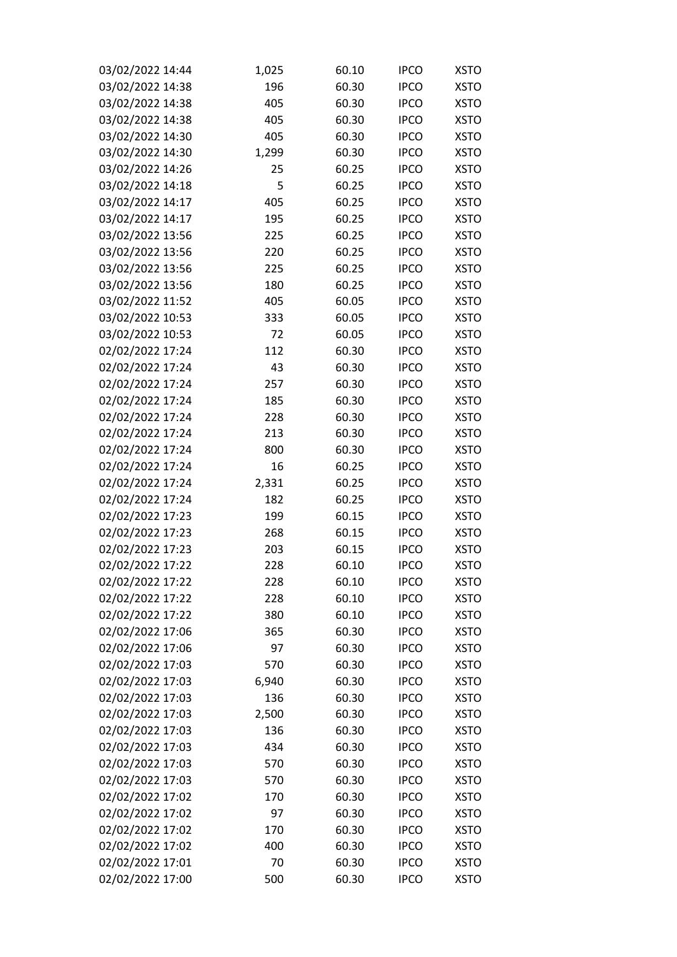| 03/02/2022 14:44 | 1,025        | 60.10 | <b>IPCO</b> | <b>XSTO</b> |
|------------------|--------------|-------|-------------|-------------|
| 03/02/2022 14:38 | 196          | 60.30 | <b>IPCO</b> | <b>XSTO</b> |
| 03/02/2022 14:38 | 405          | 60.30 | <b>IPCO</b> | <b>XSTO</b> |
| 03/02/2022 14:38 | 405          | 60.30 | <b>IPCO</b> | <b>XSTO</b> |
| 03/02/2022 14:30 | 405          | 60.30 | <b>IPCO</b> | <b>XSTO</b> |
| 03/02/2022 14:30 | 1,299        | 60.30 | <b>IPCO</b> | <b>XSTO</b> |
| 03/02/2022 14:26 | 25           | 60.25 | <b>IPCO</b> | <b>XSTO</b> |
| 03/02/2022 14:18 | 5            | 60.25 | <b>IPCO</b> | <b>XSTO</b> |
| 03/02/2022 14:17 | 405          | 60.25 | <b>IPCO</b> | <b>XSTO</b> |
| 03/02/2022 14:17 | 195          | 60.25 | <b>IPCO</b> | <b>XSTO</b> |
| 03/02/2022 13:56 | 225          | 60.25 | <b>IPCO</b> | <b>XSTO</b> |
| 03/02/2022 13:56 | 220          | 60.25 | <b>IPCO</b> | <b>XSTO</b> |
| 03/02/2022 13:56 | 225          | 60.25 | <b>IPCO</b> | <b>XSTO</b> |
| 03/02/2022 13:56 | 180          | 60.25 | <b>IPCO</b> | <b>XSTO</b> |
| 03/02/2022 11:52 | 405          | 60.05 | <b>IPCO</b> | <b>XSTO</b> |
| 03/02/2022 10:53 | 333          | 60.05 | <b>IPCO</b> | <b>XSTO</b> |
| 03/02/2022 10:53 | 72           | 60.05 | <b>IPCO</b> | <b>XSTO</b> |
| 02/02/2022 17:24 | 112          | 60.30 | <b>IPCO</b> | <b>XSTO</b> |
| 02/02/2022 17:24 | 43           | 60.30 | <b>IPCO</b> | <b>XSTO</b> |
| 02/02/2022 17:24 | 257          | 60.30 | <b>IPCO</b> | <b>XSTO</b> |
| 02/02/2022 17:24 | 185          | 60.30 | <b>IPCO</b> | <b>XSTO</b> |
| 02/02/2022 17:24 | 228          | 60.30 | <b>IPCO</b> | <b>XSTO</b> |
| 02/02/2022 17:24 | 213          | 60.30 | <b>IPCO</b> | <b>XSTO</b> |
| 02/02/2022 17:24 | 800          | 60.30 | <b>IPCO</b> | <b>XSTO</b> |
| 02/02/2022 17:24 | 16           | 60.25 | <b>IPCO</b> | <b>XSTO</b> |
| 02/02/2022 17:24 | 2,331        | 60.25 | <b>IPCO</b> | <b>XSTO</b> |
| 02/02/2022 17:24 | 182          | 60.25 | <b>IPCO</b> | <b>XSTO</b> |
| 02/02/2022 17:23 | 199          | 60.15 | <b>IPCO</b> | <b>XSTO</b> |
| 02/02/2022 17:23 | 268          | 60.15 | <b>IPCO</b> | <b>XSTO</b> |
| 02/02/2022 17:23 | 203          | 60.15 | <b>IPCO</b> | <b>XSTO</b> |
| 02/02/2022 17:22 | 228          | 60.10 | <b>IPCO</b> | <b>XSTO</b> |
| 02/02/2022 17:22 | 228          | 60.10 | <b>IPCO</b> | <b>XSTO</b> |
| 02/02/2022 17:22 | 228          | 60.10 | <b>IPCO</b> | <b>XSTO</b> |
| 02/02/2022 17:22 | 380          | 60.10 | <b>IPCO</b> | <b>XSTO</b> |
| 02/02/2022 17:06 | 365          | 60.30 | <b>IPCO</b> | <b>XSTO</b> |
| 02/02/2022 17:06 | 97           | 60.30 | <b>IPCO</b> | <b>XSTO</b> |
| 02/02/2022 17:03 | 570          | 60.30 | <b>IPCO</b> | <b>XSTO</b> |
| 02/02/2022 17:03 |              | 60.30 | <b>IPCO</b> |             |
|                  | 6,940<br>136 |       |             | <b>XSTO</b> |
| 02/02/2022 17:03 |              | 60.30 | <b>IPCO</b> | <b>XSTO</b> |
| 02/02/2022 17:03 | 2,500        | 60.30 | <b>IPCO</b> | <b>XSTO</b> |
| 02/02/2022 17:03 | 136          | 60.30 | <b>IPCO</b> | <b>XSTO</b> |
| 02/02/2022 17:03 | 434          | 60.30 | <b>IPCO</b> | <b>XSTO</b> |
| 02/02/2022 17:03 | 570          | 60.30 | <b>IPCO</b> | <b>XSTO</b> |
| 02/02/2022 17:03 | 570          | 60.30 | <b>IPCO</b> | <b>XSTO</b> |
| 02/02/2022 17:02 | 170          | 60.30 | <b>IPCO</b> | <b>XSTO</b> |
| 02/02/2022 17:02 | 97           | 60.30 | <b>IPCO</b> | <b>XSTO</b> |
| 02/02/2022 17:02 | 170          | 60.30 | <b>IPCO</b> | <b>XSTO</b> |
| 02/02/2022 17:02 | 400          | 60.30 | <b>IPCO</b> | <b>XSTO</b> |
| 02/02/2022 17:01 | 70           | 60.30 | <b>IPCO</b> | <b>XSTO</b> |
| 02/02/2022 17:00 | 500          | 60.30 | <b>IPCO</b> | <b>XSTO</b> |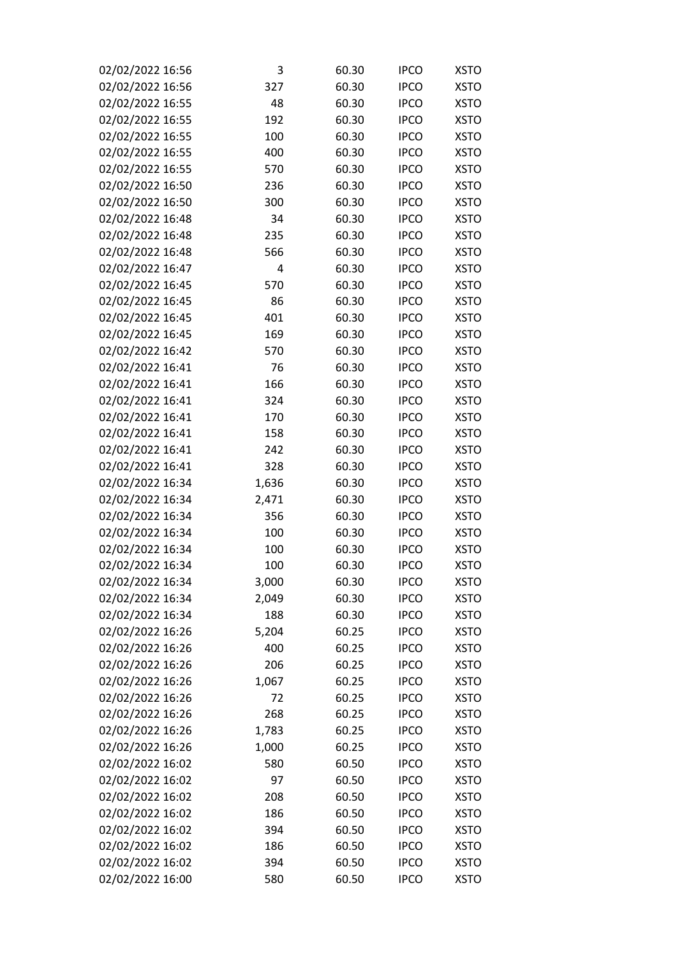| 02/02/2022 16:56 | 3     | 60.30 | <b>IPCO</b> | <b>XSTO</b> |
|------------------|-------|-------|-------------|-------------|
| 02/02/2022 16:56 | 327   | 60.30 | <b>IPCO</b> | <b>XSTO</b> |
| 02/02/2022 16:55 | 48    | 60.30 | <b>IPCO</b> | <b>XSTO</b> |
| 02/02/2022 16:55 | 192   | 60.30 | <b>IPCO</b> | <b>XSTO</b> |
| 02/02/2022 16:55 | 100   | 60.30 | <b>IPCO</b> | <b>XSTO</b> |
| 02/02/2022 16:55 | 400   | 60.30 | <b>IPCO</b> | <b>XSTO</b> |
| 02/02/2022 16:55 | 570   | 60.30 | <b>IPCO</b> | <b>XSTO</b> |
| 02/02/2022 16:50 | 236   | 60.30 | <b>IPCO</b> | <b>XSTO</b> |
| 02/02/2022 16:50 | 300   | 60.30 | <b>IPCO</b> | <b>XSTO</b> |
| 02/02/2022 16:48 | 34    | 60.30 | <b>IPCO</b> | <b>XSTO</b> |
| 02/02/2022 16:48 | 235   | 60.30 | <b>IPCO</b> | <b>XSTO</b> |
| 02/02/2022 16:48 | 566   | 60.30 | <b>IPCO</b> | <b>XSTO</b> |
| 02/02/2022 16:47 | 4     | 60.30 | <b>IPCO</b> | <b>XSTO</b> |
| 02/02/2022 16:45 | 570   | 60.30 | <b>IPCO</b> | <b>XSTO</b> |
| 02/02/2022 16:45 | 86    | 60.30 | <b>IPCO</b> | <b>XSTO</b> |
| 02/02/2022 16:45 | 401   | 60.30 | <b>IPCO</b> | <b>XSTO</b> |
| 02/02/2022 16:45 | 169   | 60.30 | <b>IPCO</b> | <b>XSTO</b> |
| 02/02/2022 16:42 | 570   | 60.30 | <b>IPCO</b> | <b>XSTO</b> |
| 02/02/2022 16:41 | 76    | 60.30 | <b>IPCO</b> | <b>XSTO</b> |
| 02/02/2022 16:41 | 166   | 60.30 | <b>IPCO</b> | <b>XSTO</b> |
| 02/02/2022 16:41 | 324   | 60.30 | <b>IPCO</b> | <b>XSTO</b> |
| 02/02/2022 16:41 | 170   | 60.30 | <b>IPCO</b> | <b>XSTO</b> |
| 02/02/2022 16:41 | 158   | 60.30 | <b>IPCO</b> | <b>XSTO</b> |
| 02/02/2022 16:41 | 242   | 60.30 | <b>IPCO</b> | <b>XSTO</b> |
| 02/02/2022 16:41 | 328   | 60.30 | <b>IPCO</b> | <b>XSTO</b> |
| 02/02/2022 16:34 | 1,636 | 60.30 | <b>IPCO</b> | <b>XSTO</b> |
| 02/02/2022 16:34 | 2,471 | 60.30 | <b>IPCO</b> | <b>XSTO</b> |
| 02/02/2022 16:34 | 356   | 60.30 | <b>IPCO</b> | <b>XSTO</b> |
| 02/02/2022 16:34 | 100   | 60.30 | <b>IPCO</b> | <b>XSTO</b> |
| 02/02/2022 16:34 | 100   | 60.30 | <b>IPCO</b> | <b>XSTO</b> |
| 02/02/2022 16:34 | 100   | 60.30 | <b>IPCO</b> | <b>XSTO</b> |
| 02/02/2022 16:34 | 3,000 | 60.30 | <b>IPCO</b> | <b>XSTO</b> |
| 02/02/2022 16:34 | 2,049 | 60.30 | <b>IPCO</b> | <b>XSTO</b> |
| 02/02/2022 16:34 | 188   | 60.30 | <b>IPCO</b> | <b>XSTO</b> |
| 02/02/2022 16:26 | 5,204 | 60.25 | <b>IPCO</b> | <b>XSTO</b> |
| 02/02/2022 16:26 | 400   | 60.25 | <b>IPCO</b> | <b>XSTO</b> |
| 02/02/2022 16:26 | 206   | 60.25 | <b>IPCO</b> | <b>XSTO</b> |
| 02/02/2022 16:26 | 1,067 | 60.25 | <b>IPCO</b> | <b>XSTO</b> |
| 02/02/2022 16:26 | 72    | 60.25 | <b>IPCO</b> | <b>XSTO</b> |
| 02/02/2022 16:26 | 268   | 60.25 | <b>IPCO</b> | <b>XSTO</b> |
| 02/02/2022 16:26 | 1,783 | 60.25 | <b>IPCO</b> | <b>XSTO</b> |
| 02/02/2022 16:26 | 1,000 | 60.25 | <b>IPCO</b> | <b>XSTO</b> |
| 02/02/2022 16:02 | 580   | 60.50 | <b>IPCO</b> | <b>XSTO</b> |
| 02/02/2022 16:02 | 97    | 60.50 | <b>IPCO</b> | <b>XSTO</b> |
| 02/02/2022 16:02 | 208   | 60.50 | <b>IPCO</b> | <b>XSTO</b> |
| 02/02/2022 16:02 | 186   | 60.50 | <b>IPCO</b> | <b>XSTO</b> |
| 02/02/2022 16:02 | 394   | 60.50 | <b>IPCO</b> | <b>XSTO</b> |
| 02/02/2022 16:02 | 186   | 60.50 | <b>IPCO</b> | <b>XSTO</b> |
| 02/02/2022 16:02 | 394   | 60.50 | <b>IPCO</b> | <b>XSTO</b> |
| 02/02/2022 16:00 | 580   | 60.50 | <b>IPCO</b> | <b>XSTO</b> |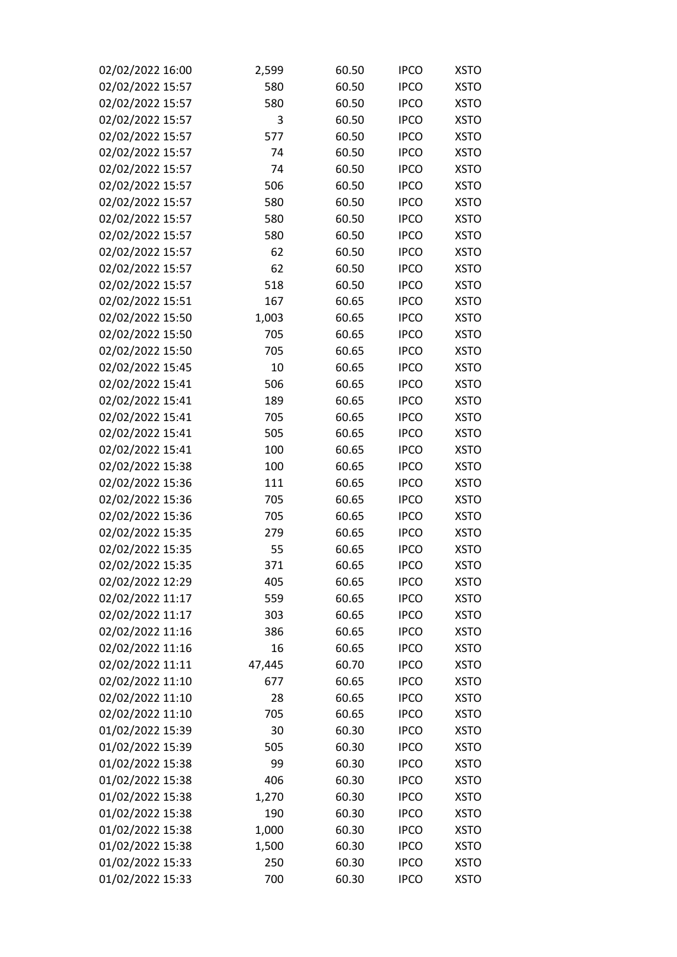| 02/02/2022 16:00 | 2,599  | 60.50 | <b>IPCO</b> | <b>XSTO</b> |
|------------------|--------|-------|-------------|-------------|
| 02/02/2022 15:57 | 580    | 60.50 | <b>IPCO</b> | <b>XSTO</b> |
| 02/02/2022 15:57 | 580    | 60.50 | <b>IPCO</b> | <b>XSTO</b> |
| 02/02/2022 15:57 | 3      | 60.50 | <b>IPCO</b> | <b>XSTO</b> |
| 02/02/2022 15:57 | 577    | 60.50 | <b>IPCO</b> | <b>XSTO</b> |
| 02/02/2022 15:57 | 74     | 60.50 | <b>IPCO</b> | <b>XSTO</b> |
| 02/02/2022 15:57 | 74     | 60.50 | <b>IPCO</b> | <b>XSTO</b> |
| 02/02/2022 15:57 | 506    | 60.50 | <b>IPCO</b> | <b>XSTO</b> |
| 02/02/2022 15:57 | 580    | 60.50 | <b>IPCO</b> | <b>XSTO</b> |
| 02/02/2022 15:57 | 580    | 60.50 | <b>IPCO</b> | <b>XSTO</b> |
| 02/02/2022 15:57 | 580    | 60.50 | <b>IPCO</b> | <b>XSTO</b> |
| 02/02/2022 15:57 | 62     | 60.50 | <b>IPCO</b> | <b>XSTO</b> |
| 02/02/2022 15:57 | 62     | 60.50 | <b>IPCO</b> | <b>XSTO</b> |
| 02/02/2022 15:57 | 518    | 60.50 | <b>IPCO</b> | <b>XSTO</b> |
| 02/02/2022 15:51 | 167    | 60.65 | <b>IPCO</b> | <b>XSTO</b> |
| 02/02/2022 15:50 | 1,003  | 60.65 | <b>IPCO</b> | <b>XSTO</b> |
| 02/02/2022 15:50 | 705    | 60.65 | <b>IPCO</b> | <b>XSTO</b> |
| 02/02/2022 15:50 | 705    | 60.65 | <b>IPCO</b> | <b>XSTO</b> |
| 02/02/2022 15:45 | 10     | 60.65 | <b>IPCO</b> | <b>XSTO</b> |
| 02/02/2022 15:41 | 506    | 60.65 | <b>IPCO</b> | <b>XSTO</b> |
| 02/02/2022 15:41 | 189    | 60.65 | <b>IPCO</b> | <b>XSTO</b> |
| 02/02/2022 15:41 | 705    | 60.65 | <b>IPCO</b> | <b>XSTO</b> |
| 02/02/2022 15:41 | 505    | 60.65 | <b>IPCO</b> | <b>XSTO</b> |
| 02/02/2022 15:41 | 100    | 60.65 | <b>IPCO</b> | <b>XSTO</b> |
| 02/02/2022 15:38 | 100    | 60.65 | <b>IPCO</b> | <b>XSTO</b> |
| 02/02/2022 15:36 | 111    | 60.65 | <b>IPCO</b> | <b>XSTO</b> |
| 02/02/2022 15:36 | 705    | 60.65 | <b>IPCO</b> | <b>XSTO</b> |
| 02/02/2022 15:36 | 705    | 60.65 | <b>IPCO</b> | <b>XSTO</b> |
| 02/02/2022 15:35 | 279    | 60.65 | <b>IPCO</b> | <b>XSTO</b> |
| 02/02/2022 15:35 | 55     | 60.65 | <b>IPCO</b> | <b>XSTO</b> |
| 02/02/2022 15:35 | 371    | 60.65 | <b>IPCO</b> | <b>XSTO</b> |
| 02/02/2022 12:29 | 405    | 60.65 | <b>IPCO</b> | <b>XSTO</b> |
| 02/02/2022 11:17 | 559    | 60.65 | <b>IPCO</b> | <b>XSTO</b> |
| 02/02/2022 11:17 | 303    | 60.65 | <b>IPCO</b> | <b>XSTO</b> |
| 02/02/2022 11:16 | 386    | 60.65 | <b>IPCO</b> | <b>XSTO</b> |
| 02/02/2022 11:16 | 16     | 60.65 | <b>IPCO</b> | <b>XSTO</b> |
| 02/02/2022 11:11 | 47,445 | 60.70 | <b>IPCO</b> | <b>XSTO</b> |
| 02/02/2022 11:10 | 677    | 60.65 | <b>IPCO</b> | <b>XSTO</b> |
| 02/02/2022 11:10 | 28     | 60.65 | <b>IPCO</b> | <b>XSTO</b> |
| 02/02/2022 11:10 | 705    | 60.65 | <b>IPCO</b> | <b>XSTO</b> |
| 01/02/2022 15:39 | 30     | 60.30 | <b>IPCO</b> | <b>XSTO</b> |
| 01/02/2022 15:39 | 505    | 60.30 | <b>IPCO</b> | <b>XSTO</b> |
| 01/02/2022 15:38 | 99     | 60.30 | <b>IPCO</b> | <b>XSTO</b> |
| 01/02/2022 15:38 | 406    | 60.30 | <b>IPCO</b> | <b>XSTO</b> |
| 01/02/2022 15:38 | 1,270  | 60.30 | <b>IPCO</b> | <b>XSTO</b> |
| 01/02/2022 15:38 | 190    | 60.30 | <b>IPCO</b> | <b>XSTO</b> |
| 01/02/2022 15:38 | 1,000  | 60.30 | <b>IPCO</b> | <b>XSTO</b> |
| 01/02/2022 15:38 | 1,500  | 60.30 | <b>IPCO</b> | <b>XSTO</b> |
| 01/02/2022 15:33 | 250    | 60.30 | <b>IPCO</b> | <b>XSTO</b> |
| 01/02/2022 15:33 | 700    | 60.30 | <b>IPCO</b> | <b>XSTO</b> |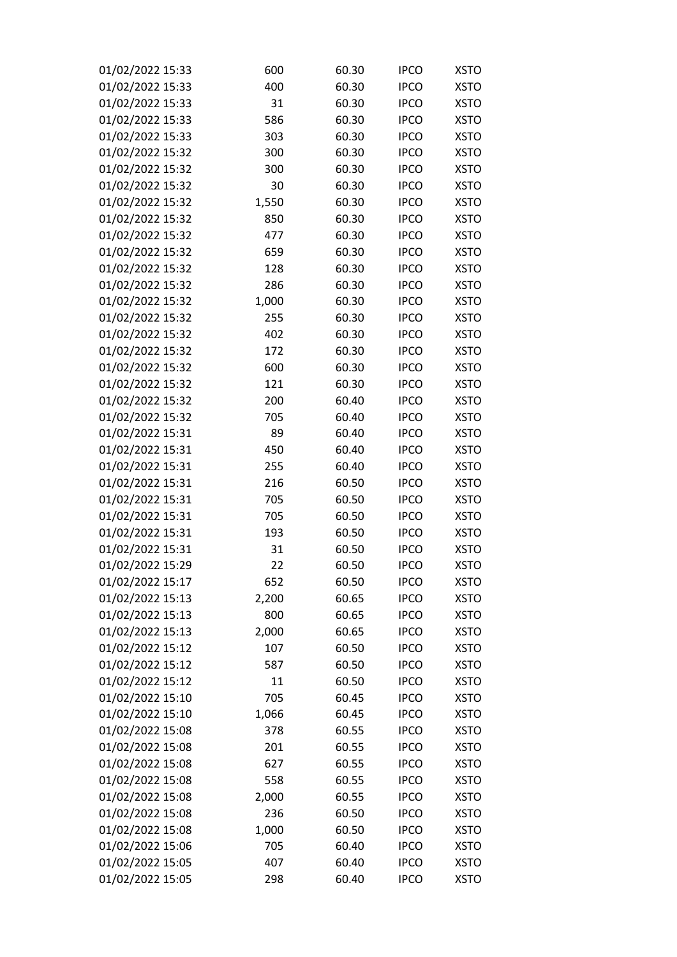| 01/02/2022 15:33 | 600   | 60.30 | <b>IPCO</b> | <b>XSTO</b> |
|------------------|-------|-------|-------------|-------------|
| 01/02/2022 15:33 | 400   | 60.30 | <b>IPCO</b> | <b>XSTO</b> |
| 01/02/2022 15:33 | 31    | 60.30 | <b>IPCO</b> | <b>XSTO</b> |
| 01/02/2022 15:33 | 586   | 60.30 | <b>IPCO</b> | <b>XSTO</b> |
| 01/02/2022 15:33 | 303   | 60.30 | <b>IPCO</b> | <b>XSTO</b> |
| 01/02/2022 15:32 | 300   | 60.30 | <b>IPCO</b> | <b>XSTO</b> |
| 01/02/2022 15:32 | 300   | 60.30 | <b>IPCO</b> | <b>XSTO</b> |
| 01/02/2022 15:32 | 30    | 60.30 | <b>IPCO</b> | <b>XSTO</b> |
| 01/02/2022 15:32 | 1,550 | 60.30 | <b>IPCO</b> | <b>XSTO</b> |
| 01/02/2022 15:32 | 850   | 60.30 | <b>IPCO</b> | <b>XSTO</b> |
| 01/02/2022 15:32 | 477   | 60.30 | <b>IPCO</b> | <b>XSTO</b> |
| 01/02/2022 15:32 | 659   | 60.30 | <b>IPCO</b> | <b>XSTO</b> |
| 01/02/2022 15:32 | 128   | 60.30 | <b>IPCO</b> | <b>XSTO</b> |
| 01/02/2022 15:32 | 286   | 60.30 | <b>IPCO</b> | <b>XSTO</b> |
| 01/02/2022 15:32 | 1,000 | 60.30 | <b>IPCO</b> | <b>XSTO</b> |
| 01/02/2022 15:32 | 255   | 60.30 | <b>IPCO</b> | <b>XSTO</b> |
| 01/02/2022 15:32 | 402   | 60.30 | <b>IPCO</b> | <b>XSTO</b> |
| 01/02/2022 15:32 | 172   | 60.30 | <b>IPCO</b> | <b>XSTO</b> |
| 01/02/2022 15:32 | 600   | 60.30 | <b>IPCO</b> | <b>XSTO</b> |
| 01/02/2022 15:32 | 121   | 60.30 | <b>IPCO</b> | <b>XSTO</b> |
| 01/02/2022 15:32 | 200   | 60.40 | <b>IPCO</b> | <b>XSTO</b> |
| 01/02/2022 15:32 | 705   | 60.40 | <b>IPCO</b> | <b>XSTO</b> |
| 01/02/2022 15:31 | 89    | 60.40 | <b>IPCO</b> | <b>XSTO</b> |
| 01/02/2022 15:31 | 450   | 60.40 | <b>IPCO</b> | <b>XSTO</b> |
| 01/02/2022 15:31 | 255   | 60.40 | <b>IPCO</b> | <b>XSTO</b> |
| 01/02/2022 15:31 | 216   | 60.50 | <b>IPCO</b> | <b>XSTO</b> |
| 01/02/2022 15:31 | 705   | 60.50 | <b>IPCO</b> | <b>XSTO</b> |
| 01/02/2022 15:31 | 705   | 60.50 | <b>IPCO</b> | <b>XSTO</b> |
| 01/02/2022 15:31 | 193   | 60.50 | <b>IPCO</b> | <b>XSTO</b> |
| 01/02/2022 15:31 | 31    | 60.50 | <b>IPCO</b> | <b>XSTO</b> |
| 01/02/2022 15:29 | 22    | 60.50 | <b>IPCO</b> | <b>XSTO</b> |
| 01/02/2022 15:17 | 652   | 60.50 | <b>IPCO</b> | <b>XSTO</b> |
| 01/02/2022 15:13 | 2,200 | 60.65 | <b>IPCO</b> | <b>XSTO</b> |
| 01/02/2022 15:13 | 800   | 60.65 | <b>IPCO</b> | <b>XSTO</b> |
| 01/02/2022 15:13 | 2,000 | 60.65 | <b>IPCO</b> | <b>XSTO</b> |
| 01/02/2022 15:12 | 107   | 60.50 | <b>IPCO</b> | <b>XSTO</b> |
| 01/02/2022 15:12 | 587   | 60.50 | <b>IPCO</b> | <b>XSTO</b> |
| 01/02/2022 15:12 | 11    | 60.50 | <b>IPCO</b> | <b>XSTO</b> |
| 01/02/2022 15:10 | 705   | 60.45 | <b>IPCO</b> | <b>XSTO</b> |
| 01/02/2022 15:10 | 1,066 | 60.45 | <b>IPCO</b> | <b>XSTO</b> |
| 01/02/2022 15:08 | 378   | 60.55 | <b>IPCO</b> | <b>XSTO</b> |
| 01/02/2022 15:08 | 201   | 60.55 | <b>IPCO</b> | <b>XSTO</b> |
| 01/02/2022 15:08 | 627   | 60.55 | <b>IPCO</b> | <b>XSTO</b> |
| 01/02/2022 15:08 | 558   | 60.55 | <b>IPCO</b> | <b>XSTO</b> |
| 01/02/2022 15:08 | 2,000 | 60.55 | <b>IPCO</b> | <b>XSTO</b> |
| 01/02/2022 15:08 | 236   | 60.50 | <b>IPCO</b> | <b>XSTO</b> |
| 01/02/2022 15:08 | 1,000 | 60.50 | <b>IPCO</b> | <b>XSTO</b> |
| 01/02/2022 15:06 | 705   | 60.40 | <b>IPCO</b> | <b>XSTO</b> |
| 01/02/2022 15:05 | 407   | 60.40 | <b>IPCO</b> | <b>XSTO</b> |
| 01/02/2022 15:05 | 298   | 60.40 | <b>IPCO</b> | <b>XSTO</b> |
|                  |       |       |             |             |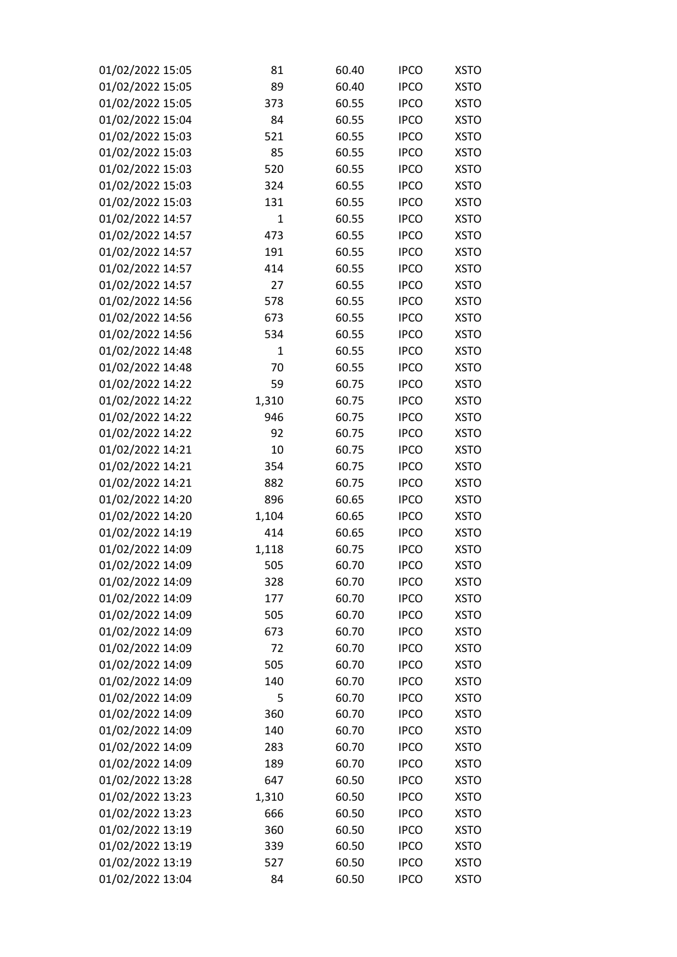| 01/02/2022 15:05 | 81          | 60.40 | <b>IPCO</b> | <b>XSTO</b> |
|------------------|-------------|-------|-------------|-------------|
| 01/02/2022 15:05 | 89          | 60.40 | <b>IPCO</b> | <b>XSTO</b> |
| 01/02/2022 15:05 | 373         | 60.55 | <b>IPCO</b> | <b>XSTO</b> |
| 01/02/2022 15:04 | 84          | 60.55 | <b>IPCO</b> | <b>XSTO</b> |
| 01/02/2022 15:03 | 521         | 60.55 | <b>IPCO</b> | <b>XSTO</b> |
| 01/02/2022 15:03 | 85          | 60.55 | <b>IPCO</b> | <b>XSTO</b> |
| 01/02/2022 15:03 | 520         | 60.55 | <b>IPCO</b> | <b>XSTO</b> |
| 01/02/2022 15:03 | 324         | 60.55 | <b>IPCO</b> | <b>XSTO</b> |
| 01/02/2022 15:03 | 131         | 60.55 | <b>IPCO</b> | <b>XSTO</b> |
| 01/02/2022 14:57 | $\mathbf 1$ | 60.55 | <b>IPCO</b> | <b>XSTO</b> |
| 01/02/2022 14:57 | 473         | 60.55 | <b>IPCO</b> | <b>XSTO</b> |
| 01/02/2022 14:57 | 191         | 60.55 | <b>IPCO</b> | <b>XSTO</b> |
| 01/02/2022 14:57 | 414         | 60.55 | <b>IPCO</b> | <b>XSTO</b> |
| 01/02/2022 14:57 | 27          | 60.55 | <b>IPCO</b> | <b>XSTO</b> |
| 01/02/2022 14:56 | 578         | 60.55 | <b>IPCO</b> | <b>XSTO</b> |
| 01/02/2022 14:56 | 673         | 60.55 | <b>IPCO</b> | <b>XSTO</b> |
| 01/02/2022 14:56 | 534         | 60.55 | <b>IPCO</b> | <b>XSTO</b> |
| 01/02/2022 14:48 | $\mathbf 1$ | 60.55 | <b>IPCO</b> | <b>XSTO</b> |
| 01/02/2022 14:48 | 70          | 60.55 | <b>IPCO</b> | <b>XSTO</b> |
| 01/02/2022 14:22 | 59          | 60.75 | <b>IPCO</b> | <b>XSTO</b> |
| 01/02/2022 14:22 | 1,310       | 60.75 | <b>IPCO</b> | <b>XSTO</b> |
| 01/02/2022 14:22 | 946         | 60.75 | <b>IPCO</b> | <b>XSTO</b> |
| 01/02/2022 14:22 | 92          | 60.75 | <b>IPCO</b> | <b>XSTO</b> |
| 01/02/2022 14:21 | 10          | 60.75 | <b>IPCO</b> | <b>XSTO</b> |
| 01/02/2022 14:21 | 354         | 60.75 | <b>IPCO</b> | <b>XSTO</b> |
| 01/02/2022 14:21 | 882         | 60.75 | <b>IPCO</b> | <b>XSTO</b> |
| 01/02/2022 14:20 | 896         | 60.65 | <b>IPCO</b> | <b>XSTO</b> |
| 01/02/2022 14:20 | 1,104       | 60.65 | <b>IPCO</b> | <b>XSTO</b> |
| 01/02/2022 14:19 | 414         | 60.65 | <b>IPCO</b> | <b>XSTO</b> |
| 01/02/2022 14:09 | 1,118       | 60.75 | <b>IPCO</b> | <b>XSTO</b> |
| 01/02/2022 14:09 | 505         | 60.70 | <b>IPCO</b> | <b>XSTO</b> |
| 01/02/2022 14:09 | 328         | 60.70 | <b>IPCO</b> | <b>XSTO</b> |
| 01/02/2022 14:09 | 177         | 60.70 | <b>IPCO</b> | <b>XSTO</b> |
| 01/02/2022 14:09 | 505         | 60.70 | <b>IPCO</b> | <b>XSTO</b> |
| 01/02/2022 14:09 | 673         | 60.70 | <b>IPCO</b> | <b>XSTO</b> |
| 01/02/2022 14:09 | 72          | 60.70 | <b>IPCO</b> | <b>XSTO</b> |
| 01/02/2022 14:09 | 505         | 60.70 | <b>IPCO</b> | <b>XSTO</b> |
| 01/02/2022 14:09 | 140         | 60.70 | <b>IPCO</b> | <b>XSTO</b> |
| 01/02/2022 14:09 | 5           | 60.70 | <b>IPCO</b> | <b>XSTO</b> |
| 01/02/2022 14:09 | 360         | 60.70 | <b>IPCO</b> | <b>XSTO</b> |
| 01/02/2022 14:09 | 140         | 60.70 | <b>IPCO</b> | <b>XSTO</b> |
| 01/02/2022 14:09 | 283         | 60.70 | <b>IPCO</b> | <b>XSTO</b> |
| 01/02/2022 14:09 | 189         | 60.70 | <b>IPCO</b> | <b>XSTO</b> |
| 01/02/2022 13:28 | 647         | 60.50 | <b>IPCO</b> | <b>XSTO</b> |
| 01/02/2022 13:23 | 1,310       | 60.50 | <b>IPCO</b> | <b>XSTO</b> |
| 01/02/2022 13:23 | 666         | 60.50 | <b>IPCO</b> | <b>XSTO</b> |
| 01/02/2022 13:19 | 360         | 60.50 | <b>IPCO</b> | <b>XSTO</b> |
| 01/02/2022 13:19 | 339         | 60.50 | <b>IPCO</b> | <b>XSTO</b> |
| 01/02/2022 13:19 | 527         | 60.50 | <b>IPCO</b> | <b>XSTO</b> |
| 01/02/2022 13:04 | 84          | 60.50 | <b>IPCO</b> | <b>XSTO</b> |
|                  |             |       |             |             |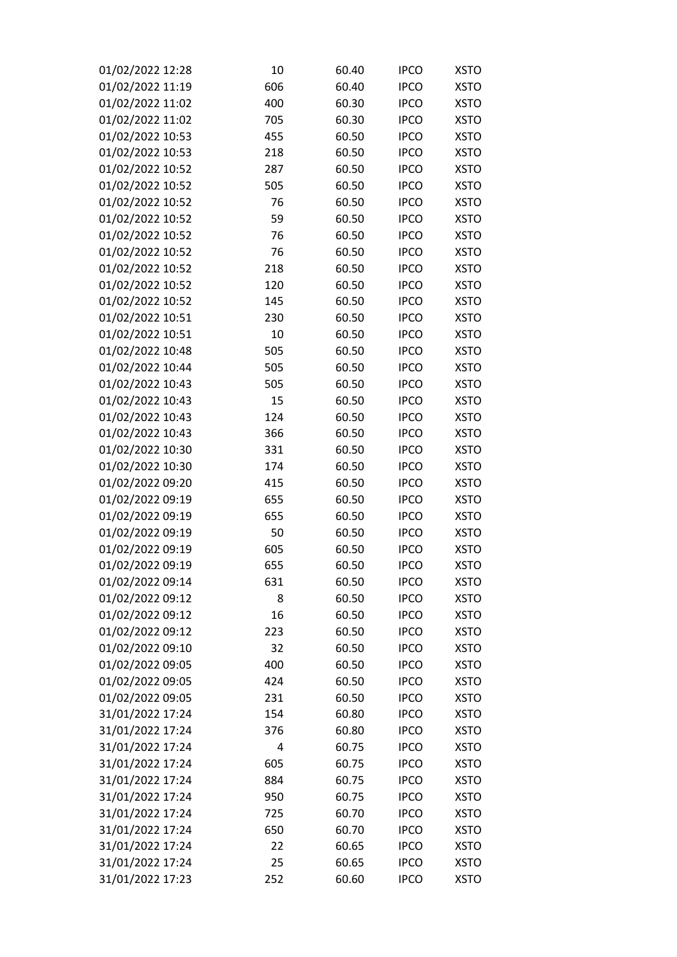| 01/02/2022 12:28 | 10  | 60.40 | <b>IPCO</b> | <b>XSTO</b> |
|------------------|-----|-------|-------------|-------------|
| 01/02/2022 11:19 | 606 | 60.40 | <b>IPCO</b> | <b>XSTO</b> |
| 01/02/2022 11:02 | 400 | 60.30 | <b>IPCO</b> | <b>XSTO</b> |
| 01/02/2022 11:02 | 705 | 60.30 | <b>IPCO</b> | <b>XSTO</b> |
| 01/02/2022 10:53 | 455 | 60.50 | <b>IPCO</b> | <b>XSTO</b> |
| 01/02/2022 10:53 | 218 | 60.50 | <b>IPCO</b> | <b>XSTO</b> |
| 01/02/2022 10:52 | 287 | 60.50 | <b>IPCO</b> | <b>XSTO</b> |
| 01/02/2022 10:52 | 505 | 60.50 | <b>IPCO</b> | <b>XSTO</b> |
| 01/02/2022 10:52 | 76  | 60.50 | <b>IPCO</b> | <b>XSTO</b> |
| 01/02/2022 10:52 | 59  | 60.50 | <b>IPCO</b> | <b>XSTO</b> |
| 01/02/2022 10:52 | 76  | 60.50 | <b>IPCO</b> | <b>XSTO</b> |
| 01/02/2022 10:52 | 76  | 60.50 | <b>IPCO</b> | <b>XSTO</b> |
| 01/02/2022 10:52 | 218 | 60.50 | <b>IPCO</b> | <b>XSTO</b> |
| 01/02/2022 10:52 | 120 | 60.50 | <b>IPCO</b> | <b>XSTO</b> |
| 01/02/2022 10:52 | 145 | 60.50 | <b>IPCO</b> | <b>XSTO</b> |
| 01/02/2022 10:51 | 230 | 60.50 | <b>IPCO</b> | <b>XSTO</b> |
| 01/02/2022 10:51 | 10  | 60.50 | <b>IPCO</b> | <b>XSTO</b> |
| 01/02/2022 10:48 | 505 | 60.50 | <b>IPCO</b> | <b>XSTO</b> |
| 01/02/2022 10:44 | 505 | 60.50 | <b>IPCO</b> | <b>XSTO</b> |
| 01/02/2022 10:43 | 505 | 60.50 | <b>IPCO</b> | <b>XSTO</b> |
| 01/02/2022 10:43 | 15  | 60.50 | <b>IPCO</b> | <b>XSTO</b> |
| 01/02/2022 10:43 | 124 | 60.50 | <b>IPCO</b> | <b>XSTO</b> |
| 01/02/2022 10:43 | 366 | 60.50 | <b>IPCO</b> | <b>XSTO</b> |
| 01/02/2022 10:30 | 331 | 60.50 | <b>IPCO</b> | <b>XSTO</b> |
| 01/02/2022 10:30 | 174 | 60.50 | <b>IPCO</b> | <b>XSTO</b> |
| 01/02/2022 09:20 | 415 | 60.50 | <b>IPCO</b> | <b>XSTO</b> |
| 01/02/2022 09:19 | 655 | 60.50 | <b>IPCO</b> | <b>XSTO</b> |
| 01/02/2022 09:19 | 655 | 60.50 | <b>IPCO</b> | <b>XSTO</b> |
| 01/02/2022 09:19 | 50  | 60.50 | <b>IPCO</b> | <b>XSTO</b> |
| 01/02/2022 09:19 | 605 | 60.50 | <b>IPCO</b> | <b>XSTO</b> |
| 01/02/2022 09:19 | 655 | 60.50 | <b>IPCO</b> | <b>XSTO</b> |
| 01/02/2022 09:14 | 631 | 60.50 | <b>IPCO</b> | <b>XSTO</b> |
| 01/02/2022 09:12 | 8   | 60.50 | <b>IPCO</b> | <b>XSTO</b> |
| 01/02/2022 09:12 | 16  | 60.50 | <b>IPCO</b> | <b>XSTO</b> |
| 01/02/2022 09:12 | 223 | 60.50 | <b>IPCO</b> | <b>XSTO</b> |
| 01/02/2022 09:10 | 32  | 60.50 | <b>IPCO</b> | <b>XSTO</b> |
| 01/02/2022 09:05 | 400 | 60.50 | <b>IPCO</b> | <b>XSTO</b> |
| 01/02/2022 09:05 | 424 | 60.50 | <b>IPCO</b> | <b>XSTO</b> |
|                  | 231 |       |             |             |
| 01/02/2022 09:05 |     | 60.50 | <b>IPCO</b> | <b>XSTO</b> |
| 31/01/2022 17:24 | 154 | 60.80 | <b>IPCO</b> | <b>XSTO</b> |
| 31/01/2022 17:24 | 376 | 60.80 | <b>IPCO</b> | <b>XSTO</b> |
| 31/01/2022 17:24 | 4   | 60.75 | <b>IPCO</b> | <b>XSTO</b> |
| 31/01/2022 17:24 | 605 | 60.75 | <b>IPCO</b> | <b>XSTO</b> |
| 31/01/2022 17:24 | 884 | 60.75 | <b>IPCO</b> | <b>XSTO</b> |
| 31/01/2022 17:24 | 950 | 60.75 | <b>IPCO</b> | <b>XSTO</b> |
| 31/01/2022 17:24 | 725 | 60.70 | <b>IPCO</b> | <b>XSTO</b> |
| 31/01/2022 17:24 | 650 | 60.70 | <b>IPCO</b> | <b>XSTO</b> |
| 31/01/2022 17:24 | 22  | 60.65 | <b>IPCO</b> | <b>XSTO</b> |
| 31/01/2022 17:24 | 25  | 60.65 | <b>IPCO</b> | <b>XSTO</b> |
| 31/01/2022 17:23 | 252 | 60.60 | <b>IPCO</b> | <b>XSTO</b> |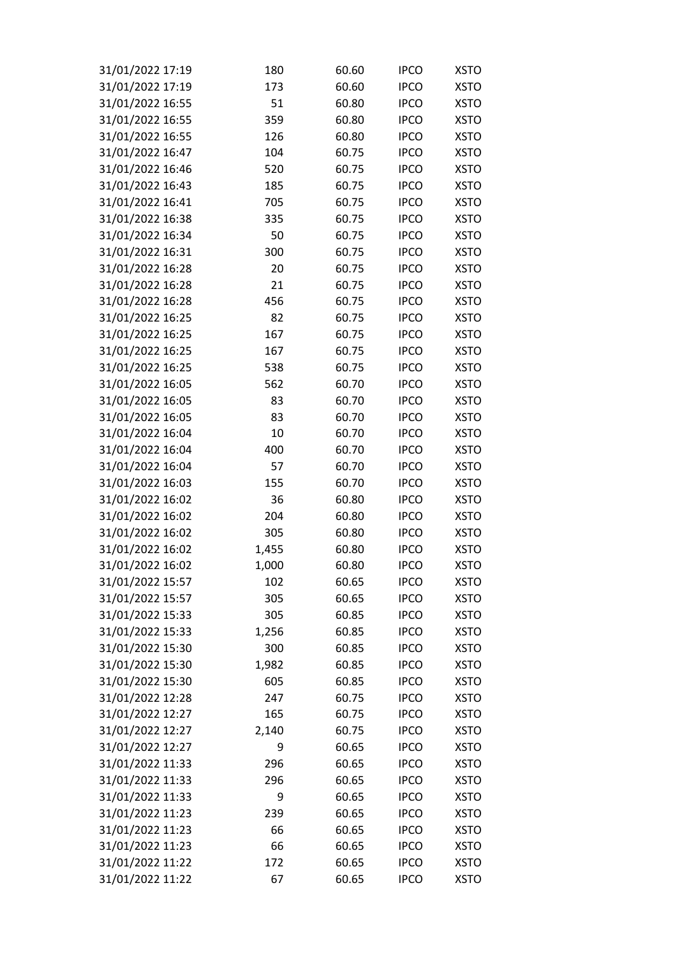| 31/01/2022 17:19 | 180   | 60.60 | <b>IPCO</b> | <b>XSTO</b> |
|------------------|-------|-------|-------------|-------------|
| 31/01/2022 17:19 | 173   | 60.60 | <b>IPCO</b> | <b>XSTO</b> |
| 31/01/2022 16:55 | 51    | 60.80 | <b>IPCO</b> | <b>XSTO</b> |
| 31/01/2022 16:55 | 359   | 60.80 | <b>IPCO</b> | <b>XSTO</b> |
| 31/01/2022 16:55 | 126   | 60.80 | <b>IPCO</b> | <b>XSTO</b> |
| 31/01/2022 16:47 | 104   | 60.75 | <b>IPCO</b> | <b>XSTO</b> |
| 31/01/2022 16:46 | 520   | 60.75 | <b>IPCO</b> | <b>XSTO</b> |
| 31/01/2022 16:43 | 185   | 60.75 | <b>IPCO</b> | <b>XSTO</b> |
| 31/01/2022 16:41 | 705   | 60.75 | <b>IPCO</b> | <b>XSTO</b> |
| 31/01/2022 16:38 | 335   | 60.75 | <b>IPCO</b> | <b>XSTO</b> |
| 31/01/2022 16:34 | 50    | 60.75 | <b>IPCO</b> | <b>XSTO</b> |
| 31/01/2022 16:31 | 300   | 60.75 | <b>IPCO</b> | <b>XSTO</b> |
| 31/01/2022 16:28 | 20    | 60.75 | <b>IPCO</b> | <b>XSTO</b> |
| 31/01/2022 16:28 | 21    | 60.75 | <b>IPCO</b> | <b>XSTO</b> |
| 31/01/2022 16:28 | 456   | 60.75 | <b>IPCO</b> | <b>XSTO</b> |
| 31/01/2022 16:25 | 82    | 60.75 | <b>IPCO</b> | <b>XSTO</b> |
| 31/01/2022 16:25 | 167   | 60.75 | <b>IPCO</b> | <b>XSTO</b> |
| 31/01/2022 16:25 | 167   | 60.75 | <b>IPCO</b> | <b>XSTO</b> |
| 31/01/2022 16:25 | 538   | 60.75 | <b>IPCO</b> | <b>XSTO</b> |
| 31/01/2022 16:05 | 562   | 60.70 | <b>IPCO</b> | <b>XSTO</b> |
| 31/01/2022 16:05 | 83    | 60.70 | <b>IPCO</b> | <b>XSTO</b> |
| 31/01/2022 16:05 | 83    | 60.70 | <b>IPCO</b> | <b>XSTO</b> |
| 31/01/2022 16:04 | 10    | 60.70 | <b>IPCO</b> | <b>XSTO</b> |
| 31/01/2022 16:04 | 400   | 60.70 | <b>IPCO</b> | <b>XSTO</b> |
| 31/01/2022 16:04 | 57    | 60.70 | <b>IPCO</b> | <b>XSTO</b> |
| 31/01/2022 16:03 | 155   | 60.70 | <b>IPCO</b> | <b>XSTO</b> |
| 31/01/2022 16:02 | 36    | 60.80 | <b>IPCO</b> | <b>XSTO</b> |
| 31/01/2022 16:02 | 204   | 60.80 | <b>IPCO</b> | <b>XSTO</b> |
| 31/01/2022 16:02 | 305   | 60.80 | <b>IPCO</b> | <b>XSTO</b> |
| 31/01/2022 16:02 | 1,455 | 60.80 | <b>IPCO</b> | <b>XSTO</b> |
| 31/01/2022 16:02 | 1,000 | 60.80 | <b>IPCO</b> | <b>XSTO</b> |
| 31/01/2022 15:57 | 102   | 60.65 | <b>IPCO</b> | <b>XSTO</b> |
| 31/01/2022 15:57 | 305   | 60.65 | <b>IPCO</b> | <b>XSTO</b> |
| 31/01/2022 15:33 | 305   | 60.85 | <b>IPCO</b> | <b>XSTO</b> |
| 31/01/2022 15:33 | 1,256 | 60.85 | <b>IPCO</b> | <b>XSTO</b> |
| 31/01/2022 15:30 | 300   | 60.85 | <b>IPCO</b> | <b>XSTO</b> |
| 31/01/2022 15:30 | 1,982 | 60.85 | <b>IPCO</b> | <b>XSTO</b> |
| 31/01/2022 15:30 | 605   | 60.85 | <b>IPCO</b> | <b>XSTO</b> |
| 31/01/2022 12:28 | 247   | 60.75 | <b>IPCO</b> | <b>XSTO</b> |
| 31/01/2022 12:27 | 165   | 60.75 | <b>IPCO</b> | <b>XSTO</b> |
| 31/01/2022 12:27 | 2,140 | 60.75 | <b>IPCO</b> | <b>XSTO</b> |
| 31/01/2022 12:27 | 9     | 60.65 | <b>IPCO</b> | <b>XSTO</b> |
| 31/01/2022 11:33 | 296   | 60.65 | <b>IPCO</b> | <b>XSTO</b> |
| 31/01/2022 11:33 | 296   | 60.65 | <b>IPCO</b> | <b>XSTO</b> |
| 31/01/2022 11:33 | 9     | 60.65 | <b>IPCO</b> | <b>XSTO</b> |
| 31/01/2022 11:23 | 239   | 60.65 | <b>IPCO</b> | <b>XSTO</b> |
| 31/01/2022 11:23 | 66    | 60.65 | <b>IPCO</b> | <b>XSTO</b> |
| 31/01/2022 11:23 | 66    | 60.65 | <b>IPCO</b> | <b>XSTO</b> |
| 31/01/2022 11:22 | 172   | 60.65 | <b>IPCO</b> | <b>XSTO</b> |
| 31/01/2022 11:22 | 67    | 60.65 | <b>IPCO</b> | <b>XSTO</b> |
|                  |       |       |             |             |